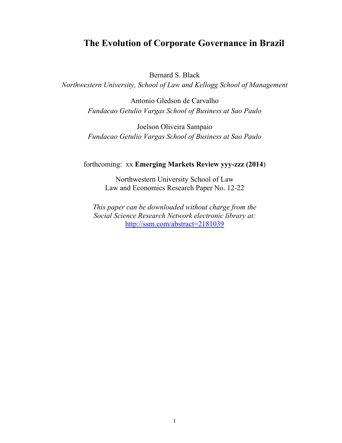# **The Evolution of Corporate Governance in Brazil**

Bernard S. Black

*Northwestern University, School of Law and Kellogg School of Management* 

Antonio Gledson de Carvalho *Fundacao Getulio Vargas School of Business at Sao Paulo* 

Joelson Oliveira Sampaio *Fundacao Getulio Vargas School of Business at Sao Paulo* 

forthcoming: xx **Emerging Markets Review yyy-zzz (2014**)

Northwestern University School of Law Law and Economics Research Paper No. 12-22

*This paper can be downloaded without charge from the Social Science Research Network electronic library at:* http://ssrn.com/abstract=2181039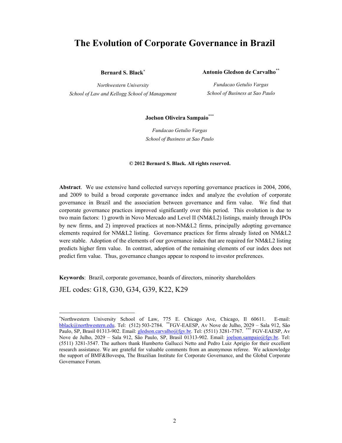# **The Evolution of Corporate Governance in Brazil**

**Bernard S. Black**

*Northwestern University School of Law and Kellogg School of Management* **Antonio Gledson de Carvalho**\*\*

*Fundacao Getulio Vargas School of Business at Sao Paulo* 

#### **Joelson Oliveira Sampaio**\*\*\*

*Fundacao Getulio Vargas School of Business at Sao Paulo*

#### **© 2012 Bernard S. Black. All rights reserved.**

**Abstract**. We use extensive hand collected surveys reporting governance practices in 2004, 2006, and 2009 to build a broad corporate governance index and analyze the evolution of corporate governance in Brazil and the association between governance and firm value. We find that corporate governance practices improved significantly over this period. This evolution is due to two main factors: 1) growth in Novo Mercado and Level II (NM&L2) listings, mainly through IPOs by new firms, and 2) improved practices at non-NM&L2 firms, principally adopting governance elements required for NM&L2 listing. Governance practices for firms already listed on NM&L2 were stable. Adoption of the elements of our governance index that are required for NM&L2 listing predicts higher firm value. In contrast, adoption of the remaining elements of our index does not predict firm value. Thus, governance changes appear to respond to investor preferences.

**Keywords**: Brazil, corporate governance, boards of directors, minority shareholders

JEL codes: G18, G30, G34, G39, K22, K29

Northwestern University School of Law, 775 E. Chicago Ave, Chicago, Il 60611. E-mail: bblack@northwestern.edu. Tel: (512) 503-2784. \*\*FGV-EAESP, Av Nove de Julho, 2029 – Sala 912, São Paulo, SP, Brasil 01313-902. Email: gledson.carvalho@fgv.br. Tel: (5511) 3281-7767. \*\*\* FGV-EAESP, Av Nove de Julho, 2029 – Sala 912, São Paulo, SP, Brasil 01313-902. Email: joelson.sampaio@fgv.br. Tel: (5511) 3281-3547. The authors thank Humberto Gallucci Netto and Pedro Luiz Aprigio for their excellent research assistance. We are grateful for valuable comments from an anonymous referee. We acknowledge the support of BMF&Bovespa, The Brazilian Institute for Corporate Governance, and the Global Corporate Governance Forum.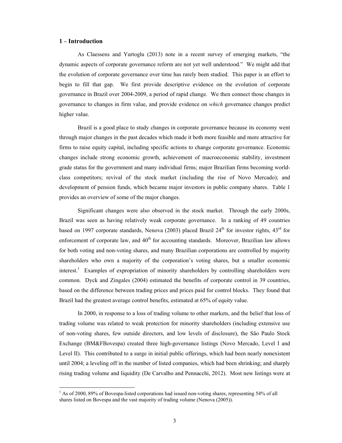#### **1 – Introduction**

As Claessens and Yurtoglu (2013) note in a recent survey of emerging markets, "the dynamic aspects of corporate governance reform are not yet well understood." We might add that the evolution of corporate governance over time has rarely been studied. This paper is an effort to begin to fill that gap. We first provide descriptive evidence on the evolution of corporate governance in Brazil over 2004-2009, a period of rapid change. We then connect those changes in governance to changes in firm value, and provide evidence on *which* governance changes predict higher value.

Brazil is a good place to study changes in corporate governance because its economy went through major changes in the past decades which made it both more feasible and more attractive for firms to raise equity capital, including specific actions to change corporate governance. Economic changes include strong economic growth, achievement of macroeconomic stability, investment grade status for the government and many individual firms; major Brazilian firms becoming worldclass competitors; revival of the stock market (including the rise of Novo Mercado); and development of pension funds, which became major investors in public company shares. Table 1 provides an overview of some of the major changes.

Significant changes were also observed in the stock market. Through the early 2000s, Brazil was seen as having relatively weak corporate governance. In a ranking of 49 countries based on 1997 corporate standards, Nenova (2003) placed Brazil  $24<sup>th</sup>$  for investor rights,  $43<sup>rd</sup>$  for enforcement of corporate law, and 40<sup>th</sup> for accounting standards. Moreover, Brazilian law allows for both voting and non-voting shares, and many Brazilian corporations are controlled by majority shareholders who own a majority of the corporation's voting shares, but a smaller economic interest.<sup>1</sup> Examples of expropriation of minority shareholders by controlling shareholders were common. Dyck and Zingales (2004) estimated the benefits of corporate control in 39 countries, based on the difference between trading prices and prices paid for control blocks. They found that Brazil had the greatest average control benefits, estimated at 65% of equity value.

In 2000, in response to a loss of trading volume to other markets, and the belief that loss of trading volume was related to weak protection for minority shareholders (including extensive use of non-voting shares, few outside directors, and low levels of disclosure), the São Paulo Stock Exchange (BM&FBovespa) created three high-governance listings (Novo Mercado, Level I and Level II). This contributed to a surge in initial public offerings, which had been nearly nonexistent until 2004; a leveling off in the number of listed companies, which had been shrinking; and sharply rising trading volume and liquidity (De Carvalho and Pennacchi, 2012). Most new listings were at

<sup>&</sup>lt;sup>1</sup> As of 2000, 89% of Bovespa-listed corporations had issued non-voting shares, representing 54% of all shares listed on Bovespa and the vast majority of trading volume (Nenova (2005)).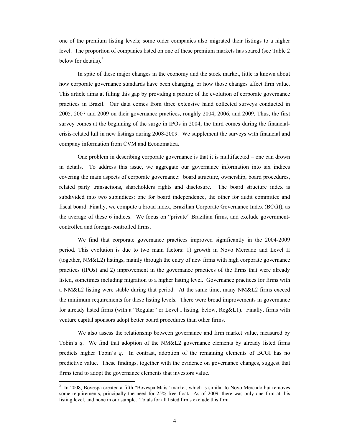one of the premium listing levels; some older companies also migrated their listings to a higher level. The proportion of companies listed on one of these premium markets has soared (see Table 2 below for details). $<sup>2</sup>$ </sup>

In spite of these major changes in the economy and the stock market, little is known about how corporate governance standards have been changing, or how those changes affect firm value. This article aims at filling this gap by providing a picture of the evolution of corporate governance practices in Brazil. Our data comes from three extensive hand collected surveys conducted in 2005, 2007 and 2009 on their governance practices, roughly 2004, 2006, and 2009. Thus, the first survey comes at the beginning of the surge in IPOs in 2004; the third comes during the financialcrisis-related lull in new listings during 2008-2009. We supplement the surveys with financial and company information from CVM and Economatica.

One problem in describing corporate governance is that it is multifaceted – one can drown in details. To address this issue, we aggregate our governance information into six indices covering the main aspects of corporate governance: board structure, ownership, board procedures, related party transactions, shareholders rights and disclosure. The board structure index is subdivided into two subindices: one for board independence, the other for audit committee and fiscal board. Finally, we compute a broad index, Brazilian Corporate Governance Index (BCGI), as the average of these 6 indices. We focus on "private" Brazilian firms, and exclude governmentcontrolled and foreign-controlled firms.

We find that corporate governance practices improved significantly in the 2004-2009 period. This evolution is due to two main factors: 1) growth in Novo Mercado and Level II (together, NM&L2) listings, mainly through the entry of new firms with high corporate governance practices (IPOs) and 2) improvement in the governance practices of the firms that were already listed, sometimes including migration to a higher listing level. Governance practices for firms with a NM&L2 listing were stable during that period. At the same time, many NM&L2 firms exceed the minimum requirements for these listing levels. There were broad improvements in governance for already listed firms (with a "Regular" or Level I listing, below, Reg&L1). Finally, firms with venture capital sponsors adopt better board procedures than other firms.

We also assess the relationship between governance and firm market value, measured by Tobin's *q*. We find that adoption of the NM&L2 governance elements by already listed firms predicts higher Tobin's *q*. In contrast, adoption of the remaining elements of BCGI has no predictive value. These findings, together with the evidence on governance changes, suggest that firms tend to adopt the governance elements that investors value.

 2 In 2008, Bovespa created a fifth "Bovespa Mais" market, which is similar to Novo Mercado but removes some requirements, principally the need for 25% free float**.** As of 2009, there was only one firm at this listing level, and none in our sample. Totals for all listed firms exclude this firm.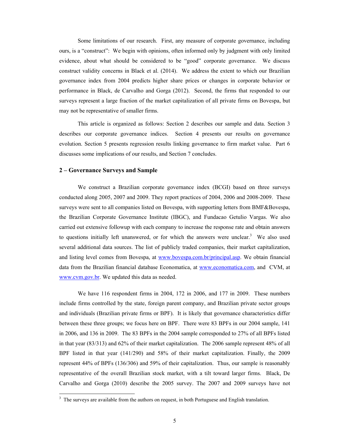Some limitations of our research. First, any measure of corporate governance, including ours, is a "construct": We begin with opinions, often informed only by judgment with only limited evidence, about what should be considered to be "good" corporate governance. We discuss construct validity concerns in Black et al. (2014). We address the extent to which our Brazilian governance index from 2004 predicts higher share prices or changes in corporate behavior or performance in Black, de Carvalho and Gorga (2012). Second, the firms that responded to our surveys represent a large fraction of the market capitalization of all private firms on Bovespa, but may not be representative of smaller firms.

This article is organized as follows: Section 2 describes our sample and data. Section 3 describes our corporate governance indices. Section 4 presents our results on governance evolution. Section 5 presents regression results linking governance to firm market value. Part 6 discusses some implications of our results, and Section 7 concludes.

### **2 – Governance Surveys and Sample**

We construct a Brazilian corporate governance index (BCGI) based on three surveys conducted along 2005, 2007 and 2009. They report practices of 2004, 2006 and 2008-2009. These surveys were sent to all companies listed on Bovespa, with supporting letters from BMF&Bovespa, the Brazilian Corporate Governance Institute (IBGC), and Fundacao Getulio Vargas. We also carried out extensive followup with each company to increase the response rate and obtain answers to questions initially left unanswered, or for which the answers were unclear. $3$  We also used several additional data sources. The list of publicly traded companies, their market capitalization, and listing level comes from Bovespa, at www.bovespa.com.br/principal.asp. We obtain financial data from the Brazilian financial database Economatica, at www.economatica.com, and CVM, at www.cvm.gov.br. We updated this data as needed.

We have 116 respondent firms in 2004, 172 in 2006, and 177 in 2009. These numbers include firms controlled by the state, foreign parent company, and Brazilian private sector groups and individuals (Brazilian private firms or BPF). It is likely that governance characteristics differ between these three groups; we focus here on BPF. There were 83 BPFs in our 2004 sample, 141 in 2006, and 136 in 2009. The 83 BPFs in the 2004 sample corresponded to 27% of all BPFs listed in that year (83/313) and 62% of their market capitalization. The 2006 sample represent 48% of all BPF listed in that year (141/290) and 58% of their market capitalization. Finally, the 2009 represent 44% of BPFs (136/306) and 59% of their capitalization. Thus, our sample is reasonably representative of the overall Brazilian stock market, with a tilt toward larger firms. Black, De Carvalho and Gorga (2010) describe the 2005 survey. The 2007 and 2009 surveys have not

 $3\,$  The surveys are available from the authors on request, in both Portuguese and English translation.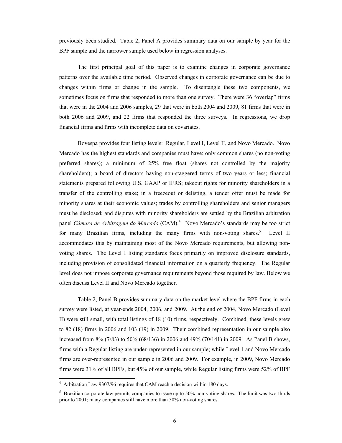previously been studied. Table 2, Panel A provides summary data on our sample by year for the BPF sample and the narrower sample used below in regression analyses.

The first principal goal of this paper is to examine changes in corporate governance patterns over the available time period. Observed changes in corporate governance can be due to changes within firms or change in the sample. To disentangle these two components, we sometimes focus on firms that responded to more than one survey. There were 36 "overlap" firms that were in the 2004 and 2006 samples, 29 that were in both 2004 and 2009, 81 firms that were in both 2006 and 2009, and 22 firms that responded the three surveys. In regressions, we drop financial firms and firms with incomplete data on covariates.

Bovespa provides four listing levels: Regular, Level I, Level II, and Novo Mercado. Novo Mercado has the highest standards and companies must have: only common shares (no non-voting preferred shares); a minimum of 25% free float (shares not controlled by the majority shareholders); a board of directors having non-staggered terms of two years or less; financial statements prepared following U.S. GAAP or IFRS; takeout rights for minority shareholders in a transfer of the controlling stake; in a freezeout or delisting, a tender offer must be made for minority shares at their economic values; trades by controlling shareholders and senior managers must be disclosed; and disputes with minority shareholders are settled by the Brazilian arbitration panel *Câmara de Arbitragem do Mercado* (CAM).4 Novo Mercado's standards may be too strict for many Brazilian firms, including the many firms with non-voting shares.<sup>5</sup> Level II accommodates this by maintaining most of the Novo Mercado requirements, but allowing nonvoting shares. The Level I listing standards focus primarily on improved disclosure standards, including provision of consolidated financial information on a quarterly frequency. The Regular level does not impose corporate governance requirements beyond those required by law. Below we often discuss Level II and Novo Mercado together.

Table 2, Panel B provides summary data on the market level where the BPF firms in each survey were listed, at year-ends 2004, 2006, and 2009. At the end of 2004, Novo Mercado (Level II) were still small, with total listings of 18 (10) firms, respectively. Combined, these levels grew to 82 (18) firms in 2006 and 103 (19) in 2009. Their combined representation in our sample also increased from 8% (7/83) to 50% (68/136) in 2006 and 49% (70/141) in 2009. As Panel B shows, firms with a Regular listing are under-represented in our sample; while Level 1 and Novo Mercado firms are over-represented in our sample in 2006 and 2009. For example, in 2009, Novo Mercado firms were 31% of all BPFs, but 45% of our sample, while Regular listing firms were 52% of BPF

 4 Arbitration Law 9307/96 requires that CAM reach a decision within 180 days.

<sup>&</sup>lt;sup>5</sup> Brazilian corporate law permits companies to issue up to 50% non-voting shares. The limit was two-thirds prior to 2001; many companies still have more than 50% non-voting shares.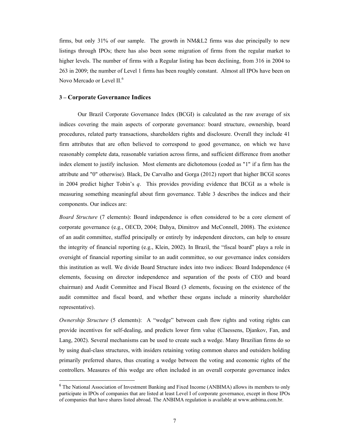firms, but only 31% of our sample. The growth in NM&L2 firms was due principally to new listings through IPOs; there has also been some migration of firms from the regular market to higher levels. The number of firms with a Regular listing has been declining, from 316 in 2004 to 263 in 2009; the number of Level 1 firms has been roughly constant. Almost all IPOs have been on Novo Mercado or Level II.<sup>6</sup>

#### **3 – Corporate Governance Indices**

Our Brazil Corporate Governance Index (BCGI) is calculated as the raw average of six indices covering the main aspects of corporate governance: board structure, ownership, board procedures, related party transactions, shareholders rights and disclosure. Overall they include 41 firm attributes that are often believed to correspond to good governance, on which we have reasonably complete data, reasonable variation across firms, and sufficient difference from another index element to justify inclusion. Most elements are dichotomous (coded as "1" if a firm has the attribute and "0" otherwise). Black, De Carvalho and Gorga (2012) report that higher BCGI scores in 2004 predict higher Tobin's *q*. This provides providing evidence that BCGI as a whole is measuring something meaningful about firm governance. Table 3 describes the indices and their components. Our indices are:

*Board Structure* (7 elements): Board independence is often considered to be a core element of corporate governance (e.g., OECD, 2004; Dahya, Dimitrov and McConnell, 2008). The existence of an audit committee, staffed principally or entirely by independent directors, can help to ensure the integrity of financial reporting (e.g., Klein, 2002). In Brazil, the "fiscal board" plays a role in oversight of financial reporting similar to an audit committee, so our governance index considers this institution as well. We divide Board Structure index into two indices: Board Independence (4 elements, focusing on director independence and separation of the posts of CEO and board chairman) and Audit Committee and Fiscal Board (3 elements, focusing on the existence of the audit committee and fiscal board, and whether these organs include a minority shareholder representative).

*Ownership Structure* (5 elements): A "wedge" between cash flow rights and voting rights can provide incentives for self-dealing, and predicts lower firm value (Claessens, Djankov, Fan, and Lang, 2002). Several mechanisms can be used to create such a wedge. Many Brazilian firms do so by using dual-class structures, with insiders retaining voting common shares and outsiders holding primarily preferred shares, thus creating a wedge between the voting and economic rights of the controllers. Measures of this wedge are often included in an overall corporate governance index

<sup>&</sup>lt;sup>6</sup> The National Association of Investment Banking and Fixed Income (ANBIMA) allows its members to only participate in IPOs of companies that are listed at least Level I of corporate governance, except in those IPOs of companies that have shares listed abroad. The ANBIMA regulation is available at www.anbima.com.br.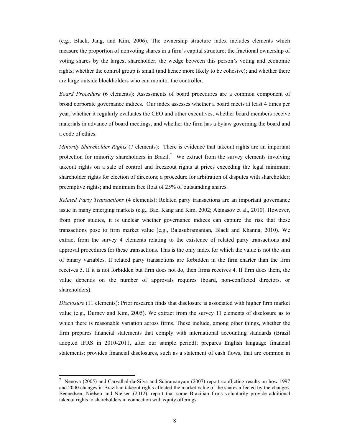(e.g., Black, Jang, and Kim, 2006). The ownership structure index includes elements which measure the proportion of nonvoting shares in a firm's capital structure; the fractional ownership of voting shares by the largest shareholder; the wedge between this person's voting and economic rights; whether the control group is small (and hence more likely to be cohesive); and whether there are large outside blockholders who can monitor the controller.

*Board Procedure* (6 elements): Assessments of board procedures are a common component of broad corporate governance indices. Our index assesses whether a board meets at least 4 times per year, whether it regularly evaluates the CEO and other executives, whether board members receive materials in advance of board meetings, and whether the firm has a bylaw governing the board and a code of ethics.

*Minority Shareholder Rights* (7 elements): There is evidence that takeout rights are an important protection for minority shareholders in Brazil.<sup>7</sup> We extract from the survey elements involving takeout rights on a sale of control and freezeout rights at prices exceeding the legal minimum; shareholder rights for election of directors; a procedure for arbitration of disputes with shareholder; preemptive rights; and minimum free float of 25% of outstanding shares.

*Related Party Transactions* (4 elements): Related party transactions are an important governance issue in many emerging markets (e.g., Bae, Kang and Kim, 2002; Atanasov et al., 2010). However, from prior studies, it is unclear whether governance indices can capture the risk that these transactions pose to firm market value (e.g., Balasubramanian, Black and Khanna, 2010). We extract from the survey 4 elements relating to the existence of related party transactions and approval procedures for these transactions. This is the only index for which the value is not the sum of binary variables. If related party transactions are forbidden in the firm charter than the firm receives 5. If it is not forbidden but firm does not do, then firms receives 4. If firm does them, the value depends on the number of approvals requires (board, non-conflicted directors, or shareholders).

*Disclosure* (11 elements): Prior research finds that disclosure is associated with higher firm market value (e.g., Durnev and Kim, 2005). We extract from the survey 11 elements of disclosure as to which there is reasonable variation across firms. These include, among other things, whether the firm prepares financial statements that comply with international accounting standards (Brazil adopted IFRS in 2010-2011, after our sample period); prepares English language financial statements; provides financial disclosures, such as a statement of cash flows, that are common in

**<sup>7</sup>** Nenova (2005) and Carvalhal-da-Silva and Subramanyam (2007) report conflicting results on how 1997 and 2000 changes in Brazilian takeout rights affected the market value of the shares affected by the changes. Bennedsen, Nielsen and Nielsen (2012), report that some Brazilian firms voluntarily provide additional takeout rights to shareholders in connection with equity offerings.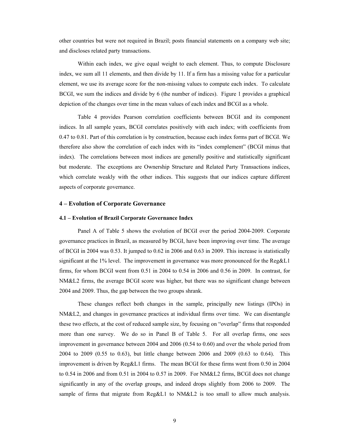other countries but were not required in Brazil; posts financial statements on a company web site; and discloses related party transactions.

Within each index, we give equal weight to each element. Thus, to compute Disclosure index, we sum all 11 elements, and then divide by 11. If a firm has a missing value for a particular element, we use its average score for the non-missing values to compute each index. To calculate BCGI, we sum the indices and divide by 6 (the number of indices). Figure 1 provides a graphical depiction of the changes over time in the mean values of each index and BCGI as a whole.

Table 4 provides Pearson correlation coefficients between BCGI and its component indices. In all sample years, BCGI correlates positively with each index; with coefficients from 0.47 to 0.81. Part of this correlation is by construction, because each index forms part of BCGI. We therefore also show the correlation of each index with its "index complement" (BCGI minus that index). The correlations between most indices are generally positive and statistically significant but moderate. The exceptions are Ownership Structure and Related Party Transactions indices, which correlate weakly with the other indices. This suggests that our indices capture different aspects of corporate governance.

#### **4 – Evolution of Corporate Governance**

#### **4.1 – Evolution of Brazil Corporate Governance Index**

Panel A of Table 5 shows the evolution of BCGI over the period 2004-2009. Corporate governance practices in Brazil, as measured by BCGI, have been improving over time. The average of BCGI in 2004 was 0.53. It jumped to 0.62 in 2006 and 0.63 in 2009. This increase is statistically significant at the 1% level. The improvement in governance was more pronounced for the Reg&L1 firms, for whom BCGI went from 0.51 in 2004 to 0.54 in 2006 and 0.56 in 2009. In contrast, for NM&L2 firms, the average BCGI score was higher, but there was no significant change between 2004 and 2009. Thus, the gap between the two groups shrank.

These changes reflect both changes in the sample, principally new listings (IPOs) in NM&L2, and changes in governance practices at individual firms over time. We can disentangle these two effects, at the cost of reduced sample size, by focusing on "overlap" firms that responded more than one survey. We do so in Panel B of Table 5. For all overlap firms, one sees improvement in governance between 2004 and 2006 (0.54 to 0.60) and over the whole period from 2004 to 2009 (0.55 to 0.63), but little change between 2006 and 2009 (0.63 to 0.64). This improvement is driven by Reg&L1 firms. The mean BCGI for these firms went from 0.50 in 2004 to 0.54 in 2006 and from 0.51 in 2004 to 0.57 in 2009. For NM&L2 firms, BCGI does not change significantly in any of the overlap groups, and indeed drops slightly from 2006 to 2009. The sample of firms that migrate from Reg&L1 to NM&L2 is too small to allow much analysis.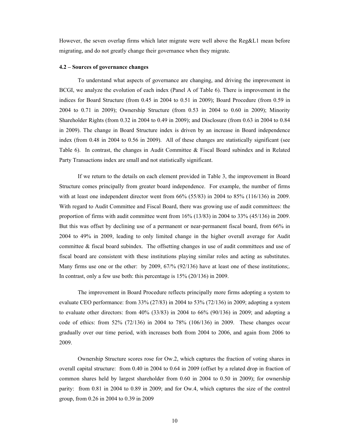However, the seven overlap firms which later migrate were well above the Reg&L1 mean before migrating, and do not greatly change their governance when they migrate.

#### **4.2 – Sources of governance changes**

To understand what aspects of governance are changing, and driving the improvement in BCGI, we analyze the evolution of each index (Panel A of Table 6). There is improvement in the indices for Board Structure (from 0.45 in 2004 to 0.51 in 2009); Board Procedure (from 0.59 in 2004 to 0.71 in 2009); Ownership Structure (from 0.53 in 2004 to 0.60 in 2009); Minority Shareholder Rights (from 0.32 in 2004 to 0.49 in 2009); and Disclosure (from 0.63 in 2004 to 0.84 in 2009). The change in Board Structure index is driven by an increase in Board independence index (from 0.48 in 2004 to 0.56 in 2009). All of these changes are statistically significant (see Table 6). In contrast, the changes in Audit Committee & Fiscal Board subindex and in Related Party Transactions index are small and not statistically significant.

If we return to the details on each element provided in Table 3, the improvement in Board Structure comes principally from greater board independence. For example, the number of firms with at least one independent director went from 66% (55/83) in 2004 to 85% (116/136) in 2009. With regard to Audit Committee and Fiscal Board, there was growing use of audit committees: the proportion of firms with audit committee went from 16% (13/83) in 2004 to 33% (45/136) in 2009. But this was offset by declining use of a permanent or near-permanent fiscal board, from 66% in 2004 to 49% in 2009, leading to only limited change in the higher overall average for Audit committee & fiscal board subindex. The offsetting changes in use of audit committees and use of fiscal board are consistent with these institutions playing similar roles and acting as substitutes. Many firms use one or the other: by 2009, 67/% (92/136) have at least one of these institutions;. In contrast, only a few use both: this percentage is 15% (20/136) in 2009.

The improvement in Board Procedure reflects principally more firms adopting a system to evaluate CEO performance: from 33% (27/83) in 2004 to 53% (72/136) in 2009; adopting a system to evaluate other directors: from 40% (33/83) in 2004 to 66% (90/136) in 2009; and adopting a code of ethics: from 52% (72/136) in 2004 to 78% (106/136) in 2009. These changes occur gradually over our time period, with increases both from 2004 to 2006, and again from 2006 to 2009.

Ownership Structure scores rose for Ow.2, which captures the fraction of voting shares in overall capital structure: from 0.40 in 2004 to 0.64 in 2009 (offset by a related drop in fraction of common shares held by largest shareholder from 0.60 in 2004 to 0.50 in 2009); for ownership parity: from 0.81 in 2004 to 0.89 in 2009; and for Ow.4, which captures the size of the control group, from 0.26 in 2004 to 0.39 in 2009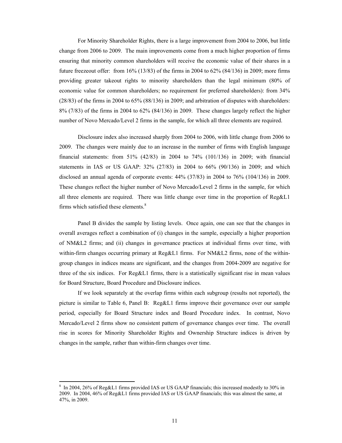For Minority Shareholder Rights, there is a large improvement from 2004 to 2006, but little change from 2006 to 2009. The main improvements come from a much higher proportion of firms ensuring that minority common shareholders will receive the economic value of their shares in a future freezeout offer: from 16% (13/83) of the firms in 2004 to 62% (84/136) in 2009; more firms providing greater takeout rights to minority shareholders than the legal minimum (80% of economic value for common shareholders; no requirement for preferred shareholders): from 34% (28/83) of the firms in 2004 to 65% (88/136) in 2009; and arbitration of disputes with shareholders: 8% (7/83) of the firms in 2004 to 62% (84/136) in 2009. These changes largely reflect the higher number of Novo Mercado/Level 2 firms in the sample, for which all three elements are required.

Disclosure index also increased sharply from 2004 to 2006, with little change from 2006 to 2009. The changes were mainly due to an increase in the number of firms with English language financial statements: from 51% (42/83) in 2004 to 74% (101/136) in 2009; with financial statements in IAS or US GAAP: 32% (27/83) in 2004 to 66% (90/136) in 2009; and which disclosed an annual agenda of corporate events: 44% (37/83) in 2004 to 76% (104/136) in 2009. These changes reflect the higher number of Novo Mercado/Level 2 firms in the sample, for which all three elements are required. There was little change over time in the proportion of Reg&L1 firms which satisfied these elements.<sup>8</sup>

Panel B divides the sample by listing levels. Once again, one can see that the changes in overall averages reflect a combination of (i) changes in the sample, especially a higher proportion of NM&L2 firms; and (ii) changes in governance practices at individual firms over time, with within-firm changes occurring primary at Reg&L1 firms. For NM&L2 firms, none of the withingroup changes in indices means are significant, and the changes from 2004-2009 are negative for three of the six indices. For Reg&L1 firms, there is a statistically significant rise in mean values for Board Structure, Board Procedure and Disclosure indices.

If we look separately at the overlap firms within each subgroup (results not reported), the picture is similar to Table 6, Panel B: Reg&L1 firms improve their governance over our sample period, especially for Board Structure index and Board Procedure index. In contrast, Novo Mercado/Level 2 firms show no consistent pattern of governance changes over time. The overall rise in scores for Minority Shareholder Rights and Ownership Structure indices is driven by changes in the sample, rather than within-firm changes over time.

<sup>8</sup> In 2004, 26% of Reg&L1 firms provided IAS or US GAAP financials; this increased modestly to 30% in 2009. In 2004, 46% of Reg&L1 firms provided IAS or US GAAP financials; this was almost the same, at 47%, in 2009.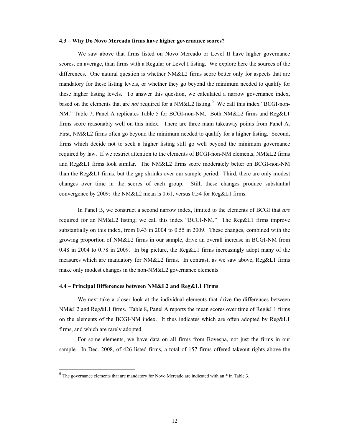#### **4.3 – Why Do Novo Mercado firms have higher governance scores?**

We saw above that firms listed on Novo Mercado or Level II have higher governance scores, on average, than firms with a Regular or Level I listing. We explore here the sources of the differences. One natural question is whether NM&L2 firms score better only for aspects that are mandatory for these listing levels, or whether they go beyond the minimum needed to qualify for these higher listing levels. To answer this question, we calculated a narrow governance index, based on the elements that are *not* required for a NM&L2 listing.<sup>9</sup> We call this index "BCGI-non-NM." Table 7, Panel A replicates Table 5 for BCGI-non-NM. Both NM&L2 firms and Reg&L1 firms score reasonably well on this index. There are three main takeaway points from Panel A. First, NM&L2 firms often go beyond the minimum needed to qualify for a higher listing. Second, firms which decide not to seek a higher listing still go well beyond the minimum governance required by law. If we restrict attention to the elements of BCGI-non-NM elements, NM&L2 firms and Reg&L1 firms look similar. The NM&L2 firms score moderately better on BCGI-non-NM than the Reg&L1 firms, but the gap shrinks over our sample period. Third, there are only modest changes over time in the scores of each group. Still, these changes produce substantial convergence by 2009: the NM&L2 mean is 0.61, versus 0.54 for Reg&L1 firms.

In Panel B, we construct a second narrow index, limited to the elements of BCGI that *are* required for an NM&L2 listing; we call this index "BCGI-NM." The Reg&L1 firms improve substantially on this index, from 0.43 in 2004 to 0.55 in 2009. These changes, combined with the growing proportion of NM&L2 firms in our sample, drive an overall increase in BCGI-NM from 0.48 in 2004 to 0.78 in 2009. In big picture, the Reg&L1 firms increasingly adopt many of the measures which are mandatory for NM&L2 firms. In contrast, as we saw above, Reg&L1 firms make only modest changes in the non-NM&L2 governance elements.

#### **4.4 – Principal Differences between NM&L2 and Reg&L1 Firms**

We next take a closer look at the individual elements that drive the differences between NM&L2 and Reg&L1 firms. Table 8, Panel A reports the mean scores over time of Reg&L1 firms on the elements of the BCGI-NM index. It thus indicates which are often adopted by Reg&L1 firms, and which are rarely adopted.

For some elements, we have data on all firms from Bovespa, not just the firms in our sample. In Dec. 2008, of 426 listed firms, a total of 157 firms offered takeout rights above the

<sup>&</sup>lt;sup>9</sup> The governance elements that are mandatory for Novo Mercado are indicated with an \* in Table 3.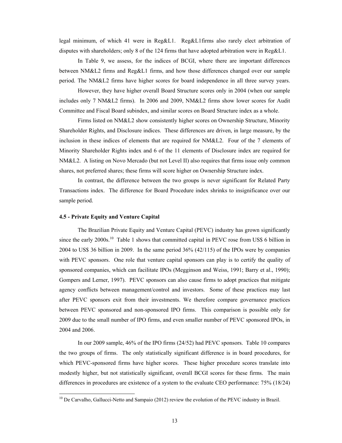legal minimum, of which 41 were in Reg&L1. Reg&L1firms also rarely elect arbitration of disputes with shareholders; only 8 of the 124 firms that have adopted arbitration were in Reg&L1.

In Table 9, we assess, for the indices of BCGI, where there are important differences between NM&L2 firms and Reg&L1 firms, and how those differences changed over our sample period. The NM&L2 firms have higher scores for board independence in all three survey years.

 However, they have higher overall Board Structure scores only in 2004 (when our sample includes only 7 NM&L2 firms). In 2006 and 2009, NM&L2 firms show lower scores for Audit Committee and Fiscal Board subindex, and similar scores on Board Structure index as a whole.

Firms listed on NM&L2 show consistently higher scores on Ownership Structure, Minority Shareholder Rights, and Disclosure indices. These differences are driven, in large measure, by the inclusion in these indices of elements that are required for NM&L2. Four of the 7 elements of Minority Shareholder Rights index and 6 of the 11 elements of Disclosure index are required for NM&L2. A listing on Novo Mercado (but not Level II) also requires that firms issue only common shares, not preferred shares; these firms will score higher on Ownership Structure index.

In contrast, the difference between the two groups is never significant for Related Party Transactions index. The difference for Board Procedure index shrinks to insignificance over our sample period.

#### **4.5 - Private Equity and Venture Capital**

The Brazilian Private Equity and Venture Capital (PEVC) industry has grown significantly since the early 2000s.<sup>10</sup> Table 1 shows that committed capital in PEVC rose from US\$ 6 billion in 2004 to US\$ 36 billion in 2009. In the same period 36% (42/115) of the IPOs were by companies with PEVC sponsors. One role that venture capital sponsors can play is to certify the quality of sponsored companies, which can facilitate IPOs (Megginson and Weiss, 1991; Barry et al., 1990); Gompers and Lerner, 1997). PEVC sponsors can also cause firms to adopt practices that mitigate agency conflicts between management/control and investors. Some of these practices may last after PEVC sponsors exit from their investments. We therefore compare governance practices between PEVC sponsored and non-sponsored IPO firms. This comparison is possible only for 2009 due to the small number of IPO firms, and even smaller number of PEVC sponsored IPOs, in 2004 and 2006.

In our 2009 sample, 46% of the IPO firms (24/52) had PEVC sponsors. Table 10 compares the two groups of firms. The only statistically significant difference is in board procedures, for which PEVC-sponsored firms have higher scores. These higher procedure scores translate into modestly higher, but not statistically significant, overall BCGI scores for these firms. The main differences in procedures are existence of a system to the evaluate CEO performance: 75% (18/24)

<sup>&</sup>lt;sup>10</sup> De Carvalho, Gallucci-Netto and Sampaio (2012) review the evolution of the PEVC industry in Brazil.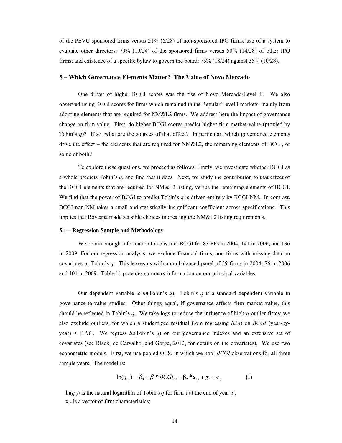of the PEVC sponsored firms versus 21% (6/28) of non-sponsored IPO firms; use of a system to evaluate other directors: 79% (19/24) of the sponsored firms versus 50% (14/28) of other IPO firms; and existence of a specific bylaw to govern the board: 75% (18/24) against 35% (10/28).

#### **5 – Which Governance Elements Matter? The Value of Novo Mercado**

One driver of higher BCGI scores was the rise of Novo Mercado/Level II. We also observed rising BCGI scores for firms which remained in the Regular/Level I markets, mainly from adopting elements that are required for NM&L2 firms. We address here the impact of governance change on firm value. First, do higher BCGI scores predict higher firm market value (proxied by Tobin's *q*)? If so, what are the sources of that effect? In particular, which governance elements drive the effect – the elements that are required for NM&L2, the remaining elements of BCGI, or some of both?

To explore these questions, we proceed as follows. Firstly, we investigate whether BCGI as a whole predicts Tobin's *q*, and find that it does. Next, we study the contribution to that effect of the BCGI elements that are required for NM&L2 listing, versus the remaining elements of BCGI. We find that the power of BCGI to predict Tobin's q is driven entirely by BCGI-NM. In contrast, BCGI-non-NM takes a small and statistically insignificant coefficient across specifications. This implies that Bovespa made sensible choices in creating the NM&L2 listing requirements.

#### **5.1 – Regression Sample and Methodology**

We obtain enough information to construct BCGI for 83 PFs in 2004, 141 in 2006, and 136 in 2009. For our regression analysis, we exclude financial firms, and firms with missing data on covariates or Tobin's *q*. This leaves us with an unbalanced panel of 59 firms in 2004; 76 in 2006 and 101 in 2009. Table 11 provides summary information on our principal variables.

Our dependent variable is *ln*(Tobin's *q*). Tobin's *q* is a standard dependent variable in governance-to-value studies. Other things equal, if governance affects firm market value, this should be reflected in Tobin's *q*. We take logs to reduce the influence of high-*q* outlier firms; we also exclude outliers, for which a studentized residual from regressing *ln*(*q*) on *BCGI* (year-by- $\gamma$ year) > |1.96|. We regress *ln*(Tobin's *q*) on our governance indexes and an extensive set of covariates (see Black, de Carvalho, and Gorga, 2012, for details on the covariates). We use two econometric models. First, we use pooled OLS, in which we pool *BCGI* observations for all three sample years. The model is:

$$
\ln(q_{i,t}) = \beta_0 + \beta_1 * BCGI_{i,t} + \beta_2 * \mathbf{x}_{i,t} + g_t + \varepsilon_{i,t}
$$
 (1)

 $ln(q_{i,t})$  is the natural logarithm of Tobin's *q* for firm *i* at the end of year *t*;  $x_{i,t}$  is a vector of firm characteristics;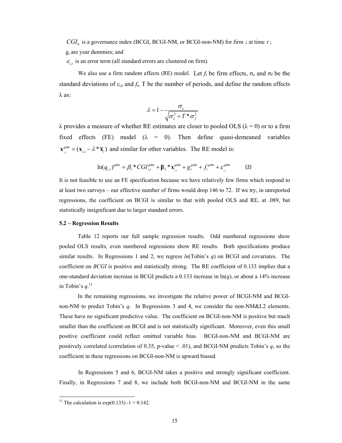$CGI<sub>it</sub>$  is a governance index (BCGI, BCGI-NM, or BCGI-non-NM) for firm *i* at time *t*;

gt are year dummies; and

 $\varepsilon_{i,t}$  is an error term (all standard errors are clustered on firm).

We also use a firm random effects (RE) model. Let  $f_i$  be firm effects,  $\sigma_{\varepsilon}$  and  $\sigma_f$  be the standard deviations of  $\varepsilon_{i,t}$  and  $f_i$ , T be the number of periods, and define the random effects  $λ$  as:

$$
\lambda = 1 - \frac{\sigma_{\varepsilon}}{\sqrt{\sigma_{\varepsilon}^2 + T^* \sigma_{f}^2}}
$$

 $\lambda$  provides a measure of whether RE estimates are closer to pooled OLS ( $\lambda = 0$ ) or to a firm fixed effects (FE) model  $(\lambda = 0)$ . Then define quasi-demeaned variables  $\mathbf{x}_{i}^{qdm} = (\mathbf{x}_{i,t} - \lambda^* \overline{\mathbf{x}}_i)$  and similar for other variables. The RE model is:

$$
\ln(q_{i,t})^{qdm} = \beta_1 * CGI_{i,t}^{qdm} + \beta_2 * \mathbf{x}_{i,t}^{qdm} + g_t^{qdm} + f_i^{qdm} + \varepsilon_{i,t}^{qdm}
$$
 (2)

It is not feasible to use an FE specification because we have relatively few firms which respond to at least two surveys – our effective number of firms would drop 146 to 72. If we try, in unreported regressions, the coefficient on BCGI is similar to that with pooled OLS and RE, at .089, but statistically insignificant due to larger standard errors.

#### **5.2 – Regression Results**

Table 12 reports our full sample regression results. Odd numbered regressions show pooled OLS results, even numbered regressions show RE results. Both specifications produce similar results. In Regressions 1 and 2, we regress *ln*(Tobin's *q*) on BCGI and covariates. The coefficient on *BCGI* is positive and statistically strong. The RE coefficient of 0.133 implies that a one-standard deviation increase in BCGI predicts a 0.133 increase in ln(*q*), or about a 14% increase in Tobin's  $q$ <sup>11</sup>

In the remaining regressions, we investigate the relative power of BCGI-NM and BCGInon-NM to predict Tobin's *q*. In Regressions 3 and 4, we consider the non-NM&L2 elements. These have no significant predictive value. The coefficient on BCGI-non-NM is positive but much smaller than the coefficient on BCGI and is not statistically significant. Moreover, even this small positive coefficient could reflect omitted variable bias. BCGI-non-NM and BCGI-NM are positively correlated (correlation of 0.35, p-value < .01), and BCGI-NM predicts Tobin's *q*, so the coefficient in these regressions on BCGI-non-NM is upward biased.

In Regressions 5 and 6, BCGI-NM takes a positive and strongly significant coefficient. Finally, in Regressions 7 and 8, we include both BCGI-non-NM and BCGI-NM in the same

<sup>&</sup>lt;sup>11</sup> The calculation is  $exp(0.133) - 1 = 0.142$ .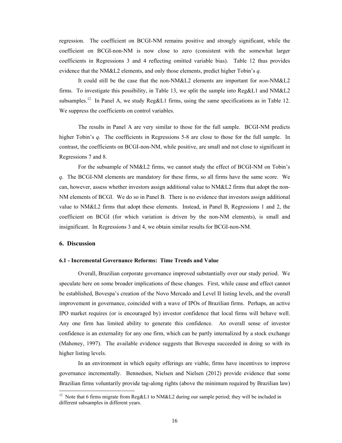regression. The coefficient on BCGI-NM remains positive and strongly significant, while the coefficient on BCGI-non-NM is now close to zero (consistent with the somewhat larger coefficients in Regressions 3 and 4 reflecting omitted variable bias). Table 12 thus provides evidence that the NM&L2 elements, and only those elements, predict higher Tobin's *q*.

It could still be the case that the non-NM&L2 elements are important for *non*-NM&L2 firms. To investigate this possibility, in Table 13, we split the sample into Reg&L1 and NM&L2 subsamples.<sup>12</sup> In Panel A, we study Reg&L1 firms, using the same specifications as in Table 12. We suppress the coefficients on control variables.

The results in Panel A are very similar to those for the full sample. BCGI-NM predicts higher Tobin's *q*. The coefficients in Regressions 5-8 are close to those for the full sample. In contrast, the coefficients on BCGI-non-NM, while positive, are small and not close to significant in Regressions 7 and 8.

For the subsample of NM&L2 firms, we cannot study the effect of BCGI-NM on Tobin's *q*. The BCGI-NM elements are mandatory for these firms, so all firms have the same score. We can, however, assess whether investors assign additional value to NM&L2 firms that adopt the non-NM elements of BCGI. We do so in Panel B. There is no evidence that investors assign additional value to NM&L2 firms that adopt these elements. Instead, in Panel B, Regressions 1 and 2, the coefficient on BCGI (for which variation is driven by the non-NM elements), is small and insignificant. In Regressions 3 and 4, we obtain similar results for BCGI-non-NM.

#### **6. Discussion**

#### **6.1 - Incremental Governance Reforms: Time Trends and Value**

Overall, Brazilian corporate governance improved substantially over our study period. We speculate here on some broader implications of these changes. First, while cause and effect cannot be established, Bovespa's creation of the Novo Mercado and Level II listing levels, and the overall improvement in governance, coincided with a wave of IPOs of Brazilian firms. Perhaps, an active IPO market requires (or is encouraged by) investor confidence that local firms will behave well. Any one firm has limited ability to generate this confidence. An overall sense of investor confidence is an externality for any one firm, which can be partly internalized by a stock exchange (Mahoney, 1997). The available evidence suggests that Bovespa succeeded in doing so with its higher listing levels.

In an environment in which equity offerings are viable, firms have incentives to improve governance incrementally. Bennedsen, Nielsen and Nielsen (2012) provide evidence that some Brazilian firms voluntarily provide tag-along rights (above the minimum required by Brazilian law)

<sup>&</sup>lt;sup>12</sup> Note that 6 firms migrate from Reg&L1 to NM&L2 during our sample period; they will be included in different subsamples in different years.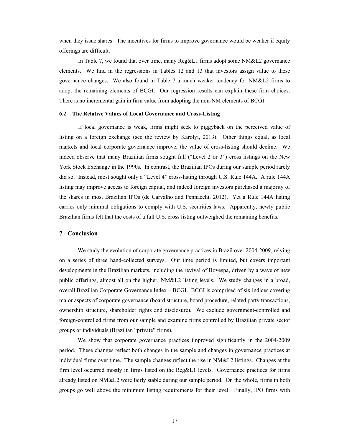when they issue shares. The incentives for firms to improve governance would be weaker if equity offerings are difficult.

In Table 7, we found that over time, many Reg&L1 firms adopt some NM&L2 governance elements. We find in the regressions in Tables 12 and 13 that investors assign value to these governance changes. We also found in Table 7 a much weaker tendency for NM&L2 firms to adopt the remaining elements of BCGI. Our regression results can explain these firm choices. There is no incremental gain in firm value from adopting the non-NM elements of BCGI.

#### **6.2 – The Relative Values of Local Governance and Cross-Listing**

If local governance is weak, firms might seek to piggyback on the perceived value of listing on a foreign exchange (see the review by Karolyi, 2013). Other things equal, as local markets and local corporate governance improve, the value of cross-listing should decline. We indeed observe that many Brazilian firms sought full ("Level 2 or 3") cross listings on the New York Stock Exchange in the 1990s. In contrast, the Brazilian IPOs during our sample period rarely did so. Instead, most sought only a "Level 4" cross-listing through U.S. Rule 144A. A rule 144A listing may improve access to foreign capital, and indeed foreign investors purchased a majority of the shares in most Brazilian IPOs (de Carvalho and Pennacchi, 2012). Yet a Rule 144A listing carries only minimal obligations to comply with U.S. securities laws. Apparently, newly public Brazilian firms felt that the costs of a full U.S. cross listing outweighed the remaining benefits.

#### **7 - Conclusion**

We study the evolution of corporate governance practices in Brazil over 2004-2009, relying on a series of three hand-collected surveys. Our time period is limited, but covers important developments in the Brazilian markets, including the revival of Bovespa, driven by a wave of new public offerings, almost all on the higher, NM&L2 listing levels. We study changes in a broad, overall Brazilian Corporate Governance Index – BCGI. BCGI is comprised of six indices covering major aspects of corporate governance (board structure, board procedure, related party transactions, ownership structure, shareholder rights and disclosure). We exclude government-controlled and foreign-controlled firms from our sample and examine firms controlled by Brazilian private sector groups or individuals (Brazilian "private" firms).

We show that corporate governance practices improved significantly in the 2004-2009 period. These changes reflect both changes in the sample and changes in governance practices at individual firms over time. The sample changes reflect the rise in NM&L2 listings. Changes at the firm level occurred mostly in firms listed on the Reg&L1 levels. Governance practices for firms already listed on NM&L2 were fairly stable during our sample period. On the whole, firms in both groups go well above the minimum listing requirements for their level. Finally, IPO firms with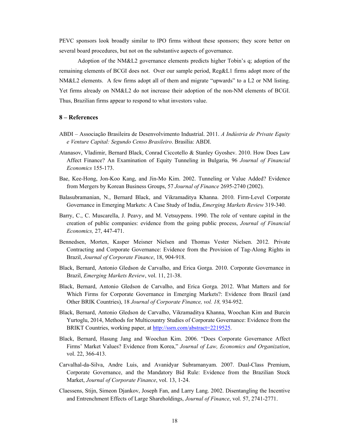PEVC sponsors look broadly similar to IPO firms without these sponsors; they score better on several board procedures, but not on the substantive aspects of governance.

Adoption of the NM&L2 governance elements predicts higher Tobin's q; adoption of the remaining elements of BCGI does not. Over our sample period, Reg&L1 firms adopt more of the NM&L2 elements. A few firms adopt all of them and migrate "upwards" to a L2 or NM listing. Yet firms already on NM&L2 do not increase their adoption of the non-NM elements of BCGI. Thus, Brazilian firms appear to respond to what investors value.

## **8 – References**

- ABDI Associação Brasileira de Desenvolvimento Industrial. 2011. *A Indústria de Private Equity e Venture Capital: Segundo Censo Brasileiro*. Brasília: ABDI.
- Atanasov, Vladimir, Bernard Black, Conrad Ciccotello & Stanley Gyoshev. 2010. How Does Law Affect Finance? An Examination of Equity Tunneling in Bulgaria, 96 *Journal of Financial Economics* 155-173.
- Bae, Kee-Hong, Jon-Koo Kang, and Jin-Mo Kim. 2002. Tunneling or Value Added? Evidence from Mergers by Korean Business Groups, 57 *Journal of Finance* 2695-2740 (2002).
- Balasubramanian, N., Bernard Black, and Vikramaditya Khanna. 2010. Firm-Level Corporate Governance in Emerging Markets: A Case Study of India, *Emerging Markets Review* 319-340.
- Barry, C., C. Muscarella, J. Peavy, and M. Vetsuypens. 1990. The role of venture capital in the creation of public companies: evidence from the going public process, *Journal of Financial Economics,* 27, 447-471.
- Bennedsen, Morten, Kasper Meisner Nielsen and Thomas Vester Nielsen. 2012. Private Contracting and Corporate Governance: Evidence from the Provision of Tag-Along Rights in Brazil, *Journal of Corporate Finance*, 18, 904-918.
- Black, Bernard, Antonio Gledson de Carvalho, and Erica Gorga. 2010. Corporate Governance in Brazil, *Emerging Markets Review*, vol. 11, 21-38.
- Black, Bernard, Antonio Gledson de Carvalho, and Erica Gorga. 2012. What Matters and for Which Firms for Corporate Governance in Emerging Markets?: Evidence from Brazil (and Other BRIK Countries), 18 *Journal of Corporate Finance, vol. 18,* 934-952.
- Black, Bernard, Antonio Gledson de Carvalho, Vikramaditya Khanna, Woochan Kim and Burcin Yurtoglu, 2014, Methods for Multicountry Studies of Corporate Governance: Evidence from the BRIKT Countries, working paper, at http://ssrn.com/abstract=2219525.
- Black, Bernard, Hasung Jang and Woochan Kim. 2006. "Does Corporate Governance Affect Firms' Market Values? Evidence from Korea," *Journal of Law, Economics and Organization*, vol. 22, 366-413.
- Carvalhal-da-Silva, Andre Luis, and Avanidyar Subramanyam. 2007. Dual-Class Premium, Corporate Governance, and the Mandatory Bid Rule: Evidence from the Brazilian Stock Market, *Journal of Corporate Finance*, vol. 13, 1-24.
- Claessens, Stijn, Simeon Djankov, Joseph Fan, and Larry Lang. 2002. Disentangling the Incentive and Entrenchment Effects of Large Shareholdings, *Journal of Finance*, vol. 57, 2741-2771.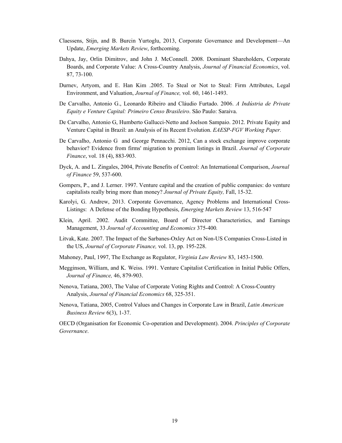- Claessens, Stijn, and B. Burcin Yurtoglu, 2013, Corporate Governance and Development—An Update, *Emerging Markets Review*, forthcoming.
- Dahya, Jay, Orlin Dimitrov, and John J. McConnell. 2008. Dominant Shareholders, Corporate Boards, and Corporate Value: A Cross-Country Analysis, *Journal of Financial Economics*, vol. 87, 73-100.
- Durnev, Artyom, and E. Han Kim .2005. To Steal or Not to Steal: Firm Attributes, Legal Environment, and Valuation, *Journal of Finance,* vol. 60, 1461-1493.
- De Carvalho, Antonio G., Leonardo Ribeiro and Cláudio Furtado. 2006. *A Indústria de Private Equity e Venture Capital: Primeiro Censo Brasileiro*. São Paulo: Saraiva.
- De Carvalho, Antonio G, Humberto Gallucci-Netto and Joelson Sampaio. 2012. Private Equity and Venture Capital in Brazil: an Analysis of its Recent Evolution. *EAESP-FGV Working Paper.*
- De Carvalho, Antonio G and George Pennacchi. 2012, Can a stock exchange improve corporate behavior? Evidence from firms' migration to premium listings in Brazil. *Journal of Corporate Finance*, vol. 18 (4), 883-903.
- Dyck, A. and L. Zingales, 2004, Private Benefits of Control: An International Comparison, *Journal of Finance* 59, 537-600.
- Gompers, P., and J. Lerner. 1997. Venture capital and the creation of public companies: do venture capitalists really bring more than money? *Journal of Private Equity,* Fall, 15-32.
- Karolyi, G. Andrew, 2013. Corporate Governance, Agency Problems and International Cross-Listings: A Defense of the Bonding Hypothesis, *Emerging Markets Review* 13, 516-547
- Klein, April. 2002. Audit Committee, Board of Director Characteristics, and Earnings Management, 33 *Journal of Accounting and Economics* 375-400*.*
- Litvak, Kate. 2007. The Impact of the Sarbanes-Oxley Act on Non-US Companies Cross-Listed in the US, *Journal of Corporate Finance,* vol. 13, pp. 195-228.
- Mahoney, Paul, 1997, The Exchange as Regulator, *Virginia Law Review* 83, 1453-1500.
- Megginson, William, and K. Weiss. 1991. Venture Capitalist Certification in Initial Public Offers, *Journal of Finance,* 46, 879-903.
- Nenova, Tatiana, 2003, The Value of Corporate Voting Rights and Control: A Cross-Country Analysis, *Journal of Financial Economics* 68, 325-351.
- Nenova, Tatiana, 2005, Control Values and Changes in Corporate Law in Brazil, *Latin American Business Review* 6(3), 1-37.

OECD (Organisation for Economic Co-operation and Development). 2004. *Principles of Corporate Governance*.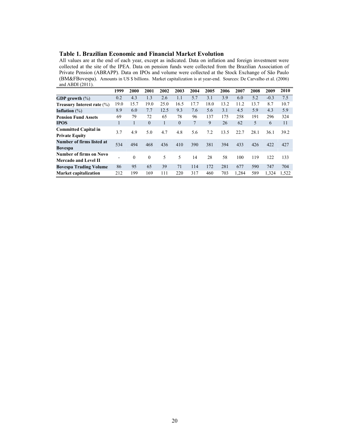#### **Table 1. Brazilian Economic and Financial Market Evolution**

All values are at the end of each year, except as indicated. Data on inflation and foreign investment were collected at the site of the IPEA. Data on pension funds were collected from the Brazilian Association of Private Pension (ABRAPP). Data on IPOs and volume were collected at the Stock Exchange of São Paulo (BM&FBovespa). Amounts in US \$ billions. Market capitalization is at year-end. Sources: De Carvalho et al. (2006) and ABDI  $(2011)$ .

|                                                 | 1999 | 2000     | 2001     | 2002 | 2003     | 2004 | 2005 | 2006 | 2007  | 2008 | 2009   | 2010  |
|-------------------------------------------------|------|----------|----------|------|----------|------|------|------|-------|------|--------|-------|
| <b>GDP</b> growth $(\%)$                        | 0.2  | 4.3      | 1.3      | 2.6  | 1.1      | 5.7  | 3.1  | 3.9  | 6.0   | 5.2  | $-0.3$ | 7.5   |
| <b>Treasury Interest rate <math>(\%)</math></b> | 19.0 | 15.7     | 19.0     | 25.0 | 16.5     | 17.7 | 18.0 | 13.2 | 11.2  | 13.7 | 8.7    | 10.7  |
| Inflation $(\%)$                                | 8.9  | 6.0      | 7.7      | 12.5 | 9.3      | 7.6  | 5.6  | 3.1  | 4.5   | 5.9  | 4.3    | 5.9   |
| <b>Pension Fund Assets</b>                      | 69   | 79       | 72       | 65   | 78       | 96   | 137  | 175  | 258   | 191  | 296    | 324   |
| <b>TPOS</b>                                     |      |          | $\theta$ | 1    | $\theta$ | 7    | 9    | 26   | 62    | 5    | 6      | 11    |
| <b>Committed Capital in</b>                     | 3.7  | 4.9      | 5.0      | 4.7  | 4.8      | 5.6  | 7.2  | 13.5 | 22.7  | 28.1 | 36.1   | 39.2  |
| <b>Private Equity</b>                           |      |          |          |      |          |      |      |      |       |      |        |       |
| Number of firms listed at                       | 534  | 494      | 468      | 436  | 410      | 390  | 381  | 394  | 433   | 426  | 422    | 427   |
| <b>Bovespa</b>                                  |      |          |          |      |          |      |      |      |       |      |        |       |
| Number of firms on Novo                         |      | $\theta$ | $\theta$ | 5    | 5        | 14   | 28   | 58   | 100   | 119  | 122    | 133   |
| Mercado and Level II                            |      |          |          |      |          |      |      |      |       |      |        |       |
| <b>Bovespa Trading Volume</b>                   | 86   | 95       | 65       | 39   | 71       | 114  | 172  | 281  | 677   | 590  | 747    | 704   |
| <b>Market capitalization</b>                    | 212  | 199      | 169      | 111  | 220      | 317  | 460  | 703  | 1.284 | 589  | 1,324  | 1.522 |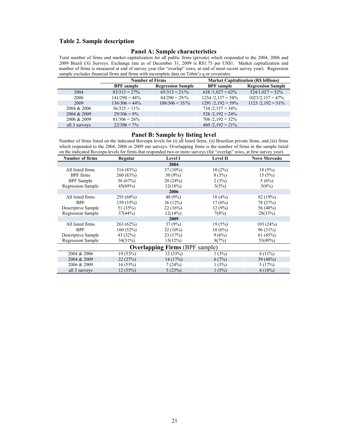## **Table 2. Sample description**

#### **Panel A: Sample characteristics**

Total number of firms and market capitalization for all public firms (private) which responded to the 2004, 2006 and 2009 Brazil CG Surveys. Exchange rate as of December 31, 2009 is R\$1.75 per US\$1. Market capitalization and number of firms is measured at end of survey year (for "overlap" rows, at end of most recent survey year). Regression sample excludes financial firms and firms with incomplete data on Tobin's q or covariates.

|               | <b>Number of Firms</b> |                           |                       | <b>Market Capitalization (R\$ billions)</b> |  |  |
|---------------|------------------------|---------------------------|-----------------------|---------------------------------------------|--|--|
|               | <b>BPF</b> sample      | <b>Regression Sample</b>  | <b>BPF</b> sample     | <b>Regression Sample</b>                    |  |  |
| 2004          | $83/313 = 27\%$        | $65/313 = 21/%$           | $638/1,027 = 62\%$    | $524/1,027 = 52\%$                          |  |  |
| 2006          | $141/290 = 48\%$       | $84/290 = 29\%$           | $1254/2.157 = 58\%$   | $1023/2, 157 = 47\%$                        |  |  |
| 2009          | $136/306 = 44\%$       | $108/306 = 35\frac{9}{6}$ | $1291 / 2,192 = 59\%$ | $1123 / 2,192 = 51\%$                       |  |  |
| 2004 & 2006   | $36/325 = 11\%$        |                           | $734/2,157 = 34\%$    |                                             |  |  |
| 2004 & 2009   | $29/306 = 9\%$         |                           | $528/2,192 = 24\%$    |                                             |  |  |
| 2006 & 2009   | $81/306 = 26\%$        |                           | $708/2,192 = 32\%$    |                                             |  |  |
| all 3 surveys | $22/306 = 7\%$         |                           | $460/2,192 = 21\%$    |                                             |  |  |

#### **Panel B: Sample by listing level**

Number of firms listed on the indicated Bovespa levels for (i) all listed firms, (ii) Brazilian private firms, and (iii) firms which responded to the 2004, 2006 or 2009 our surveys. Overlapping firms is the number of firms in the sample listed on the indicated Bovespa levels for firms that responded two or more surveys (for "overlap" rows, at first survey year).

| <b>Number of firms</b> | Regular    | <b>Level I</b>                        | <b>Level II</b> | <b>Novo Mercado</b> |
|------------------------|------------|---------------------------------------|-----------------|---------------------|
|                        |            | 2004                                  |                 |                     |
| All listed firms       | 316 (83%)  | $37(10\%)$                            | $10(2\%)$       | 18(5%)              |
| <b>BPF</b> firms       | 260 (83%)  | $30(9\%)$                             | 8(3%)           | 15(5%)              |
| <b>BPF</b> Sample      | 56 (67%)   | 20(24%)                               | 2(3%)           | 5(6%)               |
| Regression Sample      | 45(69%)    | 12(18%)                               | 3(5%)           | 5(8%)               |
|                        |            | 2006                                  |                 |                     |
| All listed firms       | 293 (68%)  | 40 (9%)                               | 18(4%)          | 82 (19%)            |
| <b>BPF</b>             | 159 (55%)  | $36(12\%)$                            | 17(6%)          | 78 (27%)            |
| Descriptive Sample     | 51 (35%)   | 22(16%)                               | 12(9%)          | 56 (40%)            |
| Regression Sample      | 37(44%)    | 12(14%)                               | 7(8%)           | 28(33%)             |
|                        |            | 2009                                  |                 |                     |
| All listed firms       | 263(62%)   | 37(9%)                                | 19(5%)          | 103(24%)            |
| <b>BPF</b>             | 160(52%)   | $32(10\%)$                            | 18(6%)          | 96 (31%)            |
| Descriptive Sample     | 43 (32%)   | 23(17%)                               | 9(6%)           | 61(45%)             |
| Regression Sample      | $34(31\%)$ | 13(12%)                               | 8(7%)           | 53(49%)             |
|                        |            | <b>Overlapping Firms (BPF sample)</b> |                 |                     |
| 2004 & 2006            | 19(53%)    | 12(33%)                               | 1(3%)           | $4(11\%)$           |
| 2004 & 2009            | 22(27%)    | 14 (17%)                              | 6(7%)           | 39 (48%)            |
| 2006 & 2009            | 16(55%)    | 7(24%)                                | 1(3%)           | 5(17%)              |
| all 3 surveys          | 12(55%)    | 5(23%)                                | 1(5%)           | 4(18%)              |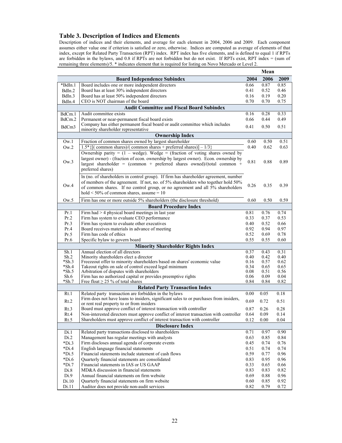## **Table 3. Description of Indices and Elements**

Description of indices and their elements, and average for each element in 2004, 2006 and 2009. Each component assumes either value one if criterion is satisfied or zero, otherwise. Indices are computed as average of elements of that index, except for Related Party Transaction (RPT) index. RPT index has five elements, and is defined to equal 1 if RPTs are forbidden in the bylaws, and 0.8 if RPTs are not forbidden but do not exist. If RPTs exist, RPT index = (sum of remaining three elements)/5. \* indicates element that is required for listing on Novo Mercado or Level 2.

|                                          |                                                                                                                                                 |              | Mean         |              |  |  |  |  |  |  |  |
|------------------------------------------|-------------------------------------------------------------------------------------------------------------------------------------------------|--------------|--------------|--------------|--|--|--|--|--|--|--|
|                                          | <b>Board Independence Subindex</b>                                                                                                              | 2004         | 2006         | 2009         |  |  |  |  |  |  |  |
| *BdIn.1                                  | Board includes one or more independent directors                                                                                                | 0.66         | 0.87         | 0.85         |  |  |  |  |  |  |  |
| BdIn.2                                   | Board has at least 30% independent directors                                                                                                    | 0.41         | 0.52         | 0.46         |  |  |  |  |  |  |  |
| BdIn.3                                   | Board has at least 50% independent directors                                                                                                    | 0.16         | 0.19         | 0.20         |  |  |  |  |  |  |  |
| BdIn.4                                   | CEO is NOT chairman of the board                                                                                                                | 0.70         | 0.70         | 0.75         |  |  |  |  |  |  |  |
|                                          | <b>Audit Committee and Fiscal Board Subindex</b>                                                                                                |              |              |              |  |  |  |  |  |  |  |
| BdCm.1                                   | Audit committee exists                                                                                                                          | 0.16         | 0.28         | 0.33         |  |  |  |  |  |  |  |
| BdCm.2                                   | Permanent or near-permanent fiscal board exists                                                                                                 | 0.66         | 0.44         | 0.49         |  |  |  |  |  |  |  |
|                                          | Company has either permanent fiscal board or audit committee which includes                                                                     |              |              |              |  |  |  |  |  |  |  |
| BdCm3                                    | minority shareholder representative                                                                                                             | 0.41         | 0.50         | 0.51         |  |  |  |  |  |  |  |
|                                          | <b>Ownership Index</b>                                                                                                                          |              |              |              |  |  |  |  |  |  |  |
| Ow.1                                     | Fraction of common shares owned by largest shareholder                                                                                          | 0.60         | 0.50         | 0.51         |  |  |  |  |  |  |  |
| Ow.2                                     | $1.5*$ {[( common shares)/( common shares + preferred shares)] - 1/3}                                                                           | 0.40         | 0.62         | 0.63         |  |  |  |  |  |  |  |
|                                          | Ownership parity = $(1 - wedge)$ . Wedge = (fraction of voting shares owned by                                                                  |              |              |              |  |  |  |  |  |  |  |
|                                          | largest owner) - (fraction of econ. ownership by largest owner). Econ. ownership by                                                             |              |              |              |  |  |  |  |  |  |  |
| Ow.3                                     | largest shareholder = (common + preferred shares owned)/(total common +                                                                         | 0.81         | 0.88         | 0.89         |  |  |  |  |  |  |  |
|                                          | preferred shares)                                                                                                                               |              |              |              |  |  |  |  |  |  |  |
|                                          |                                                                                                                                                 |              |              |              |  |  |  |  |  |  |  |
|                                          | In (no. of shareholders in control group). If firm has shareholder agreement, number                                                            |              |              |              |  |  |  |  |  |  |  |
| Ow.4                                     | of members of the agreement. If not, no. of 5% shareholders who together hold 50%                                                               | 0.26         | 0.35         | 0.39         |  |  |  |  |  |  |  |
|                                          | of common shares. If no control group, or no agreement and all 5% shareholders                                                                  |              |              |              |  |  |  |  |  |  |  |
|                                          | hold $\leq 50\%$ of common shares, assume $= 10$                                                                                                |              |              |              |  |  |  |  |  |  |  |
| Ow.5                                     | Firm has one or more outside 5% shareholders (the disclosure threshold)                                                                         | 0.60         | 0.50         | 0.59         |  |  |  |  |  |  |  |
| <b>Board Procedure Index</b>             |                                                                                                                                                 |              |              |              |  |  |  |  |  |  |  |
| Pr.1                                     | Firm $had > 4$ physical board meetings in last year                                                                                             | 0.81         | 0.76         | 0.74         |  |  |  |  |  |  |  |
| Pr.2                                     | Firm has system to evaluate CEO performance                                                                                                     | 0.33         | 0.37         | 0.53         |  |  |  |  |  |  |  |
| Pr.3                                     | Firm has system to evaluate other executives                                                                                                    | 0.40         | 0.52         | 0.66         |  |  |  |  |  |  |  |
| Pr.4                                     | Board receives materials in advance of meeting                                                                                                  | 0.92         | 0.94         | 0.97         |  |  |  |  |  |  |  |
| Pr.5                                     | Firm has code of ethics                                                                                                                         | 0.52         | 0.69         | 0.78         |  |  |  |  |  |  |  |
| Pr.6                                     | Specific bylaw to govern board                                                                                                                  | 0.55         | 0.55         | 0.60         |  |  |  |  |  |  |  |
| <b>Minority Shareholder Rights Index</b> |                                                                                                                                                 |              |              |              |  |  |  |  |  |  |  |
| Sh.1                                     | Annual election of all directors                                                                                                                | 0.37         | 0.43         | 0.31         |  |  |  |  |  |  |  |
| Sh.2                                     | Minority shareholders elect a director                                                                                                          | 0.40         | 0.42         | 0.40         |  |  |  |  |  |  |  |
| *Sh.3                                    | Freezeout offer to minority shareholders based on shares' economic value                                                                        | 0.16         | 0.57         | 0.62         |  |  |  |  |  |  |  |
| *Sh.4                                    | Takeout rights on sale of control exceed legal minimum                                                                                          | 0.34         | 0.65         | 0.65         |  |  |  |  |  |  |  |
| $*Sh.5$                                  | Arbitration of disputes with shareholders                                                                                                       | 0.08         | 0.51         | 0.56         |  |  |  |  |  |  |  |
| Sh.6<br>$*Sh.7$                          | Firm has no authorized capital or provides preemptive rights<br>Free float $\geq$ 25 % of total shares                                          | 0.06<br>0.84 | 0.09<br>0.84 | 0.04<br>0.82 |  |  |  |  |  |  |  |
|                                          |                                                                                                                                                 |              |              |              |  |  |  |  |  |  |  |
|                                          | <b>Related Party Transaction Index</b>                                                                                                          |              |              |              |  |  |  |  |  |  |  |
| Rt.1                                     | Related party transaction are forbidden in the bylaws<br>Firm does not have loans to insiders, significant sales to or purchases from insiders, | 0.00         | 0.05         | 0.18         |  |  |  |  |  |  |  |
| Rt.2                                     | or rent real property to or from insiders                                                                                                       | 0.69         | 0.72         | 0.51         |  |  |  |  |  |  |  |
| Rt.3                                     | Board must approve conflict of interest transaction with controller                                                                             | 0.87         | 0.26         | 0.28         |  |  |  |  |  |  |  |
| Rt.4                                     | Non-interested directors must approve conflict of interest transaction with controller                                                          | 0.64         | 0.09         | 0.14         |  |  |  |  |  |  |  |
| Rt.5                                     | Shareholders must approve conflict of interest transaction with controller                                                                      | 0.12         | 0.00         | 0.04         |  |  |  |  |  |  |  |
|                                          | <b>Disclosure Index</b>                                                                                                                         |              |              |              |  |  |  |  |  |  |  |
| Di.1                                     | Related party transactions disclosed to shareholders                                                                                            | 0.71         | 0.97         | 0.90         |  |  |  |  |  |  |  |
| Di.2                                     | Management has regular meetings with analysts                                                                                                   | 0.63         | 0.85         | 0.84         |  |  |  |  |  |  |  |
| $*Di.3$                                  | Firm discloses annual agenda of corporate events                                                                                                | 0.45         | 0.74         | 0.76         |  |  |  |  |  |  |  |
| $*Di.4$                                  | English language financial statements                                                                                                           | 0.51         | 0.74         | 0.74         |  |  |  |  |  |  |  |
| $*Di.5$                                  | Financial statements include statement of cash flows                                                                                            | 0.59         | 0.77         | 0.96         |  |  |  |  |  |  |  |
| $*Di.6$                                  | Quarterly financial statements are consolidated                                                                                                 | 0.83         | 0.95         | 0.96         |  |  |  |  |  |  |  |
| $*Di.7$                                  | Financial statements in IAS or US GAAP                                                                                                          | 0.33         | 0.65         | 0.66         |  |  |  |  |  |  |  |
| Di.8                                     | MD&A discussion in financial statements                                                                                                         | 0.83         | 0.83         | 0.82         |  |  |  |  |  |  |  |
| Di.9                                     | Annual financial statements on firm website                                                                                                     | 0.69         | 0.88         | $0.96\,$     |  |  |  |  |  |  |  |
| Di.10                                    | Quarterly financial statements on firm website                                                                                                  | 0.60         | 0.85         | 0.92         |  |  |  |  |  |  |  |
| Di.11                                    | Auditor does not provide non-audit services                                                                                                     | 0.82         | 0.79         | 0.72         |  |  |  |  |  |  |  |
|                                          |                                                                                                                                                 |              |              |              |  |  |  |  |  |  |  |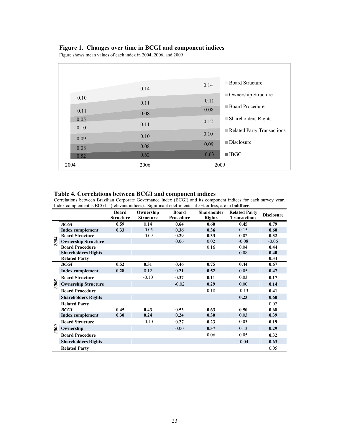## **Figure 1. Changes over time in BCGI and component indices**

Figure shows mean values of each index in 2004, 2006, and 2009

|      | 0.14 | 0.14                              | <b>Board Structure</b>             |
|------|------|-----------------------------------|------------------------------------|
|      |      |                                   | Ownership Structure                |
| 0.10 | 0.11 | 0.11                              |                                    |
|      |      | 0.08                              | <b>Board Procedure</b>             |
| 0.11 | 0.08 |                                   |                                    |
| 0.05 |      | 0.12                              | $\blacksquare$ Shareholders Rights |
| 0.10 | 0.11 |                                   |                                    |
|      |      | 0.10                              | Related Party Transactions         |
| 0.09 | 0.10 |                                   |                                    |
|      |      | $\blacksquare$ Disclosure<br>0.09 |                                    |
| 0.08 | 0.08 |                                   |                                    |
| 0,52 | 0,62 | 0,63<br>$\blacksquare$ IBGC       |                                    |
| 2004 | 2006 | 2009                              |                                    |
|      |      |                                   |                                    |

### **Table 4. Correlations between BCGI and component indices**

Correlations between Brazilian Corporate Governance Index (BCGI) and its component indices for each survey year. Index complement is BCGI – (relevant indices). Significant coefficients, at 5% or less, are in **boldface**.

|      |                            | <b>Board</b><br><b>Structure</b> | Ownership<br><b>Structure</b> | <b>Board</b><br>Procedure | <b>Shareholder</b><br><b>Rights</b> | <b>Related Party</b><br><b>Transactions</b> | <b>Disclosure</b> |
|------|----------------------------|----------------------------------|-------------------------------|---------------------------|-------------------------------------|---------------------------------------------|-------------------|
|      | <b>BCGI</b>                | 0.59                             | 0.14                          | 0.64                      | 0.60                                | 0.45                                        | 0.79              |
|      | <b>Index complement</b>    | 0.33                             | $-0.05$                       | 0.36                      | 0.36                                | 0.15                                        | 0.60              |
|      | <b>Board Structure</b>     |                                  | $-0.09$                       | 0.29                      | 0.33                                | 0.02                                        | 0.32              |
| 2004 | <b>Ownership Structure</b> |                                  |                               | 0.06                      | 0.02                                | $-0.08$                                     | $-0.06$           |
|      | <b>Board Procedure</b>     |                                  |                               |                           | 0.16                                | 0.04                                        | 0.44              |
|      | <b>Shareholders Rights</b> |                                  |                               |                           |                                     | 0.08                                        | 0.40              |
|      | <b>Related Party</b>       |                                  |                               |                           |                                     |                                             | 0.34              |
|      | <b>BCGI</b>                | 0.52                             | 0.31                          | 0.46                      | 0.75                                | 0.44                                        | 0.67              |
|      | <b>Index complement</b>    | 0.28                             | 0.12                          | 0.21                      | 0.52                                | 0.05                                        | 0.47              |
|      | <b>Board Structure</b>     |                                  | $-0.10$                       | 0.37                      | 0.11                                | 0.03                                        | 0.17              |
| 2006 | <b>Ownership Structure</b> |                                  |                               | $-0.02$                   | 0.29                                | 0.00                                        | 0.14              |
|      | <b>Board Procedure</b>     |                                  |                               |                           | 0.18                                | $-0.13$                                     | 0.41              |
|      | <b>Shareholders Rights</b> |                                  |                               |                           |                                     | 0.23                                        | 0.60              |
|      | <b>Related Party</b>       |                                  |                               |                           |                                     |                                             | 0.02              |
|      | <b>BCGI</b>                | 0.45                             | 0.43                          | 0.53                      | 0.63                                | 0.50                                        | 0.68              |
|      | <b>Index complement</b>    | 0.30                             | 0.24                          | 0.24                      | 0.30                                | 0.03                                        | 0.39              |
|      | <b>Board Structure</b>     |                                  | $-0.10$                       | 0.27                      | 0.23                                | 0.03                                        | 0.19              |
| 2009 | Ownership                  |                                  |                               | 0.00                      | 0.37                                | 0.13                                        | 0.29              |
|      | <b>Board Procedure</b>     |                                  |                               |                           | 0.06                                | 0.05                                        | 0.32              |
|      | <b>Shareholders Rights</b> |                                  |                               |                           |                                     | $-0.04$                                     | 0.63              |
|      | <b>Related Party</b>       |                                  |                               |                           |                                     |                                             | 0.05              |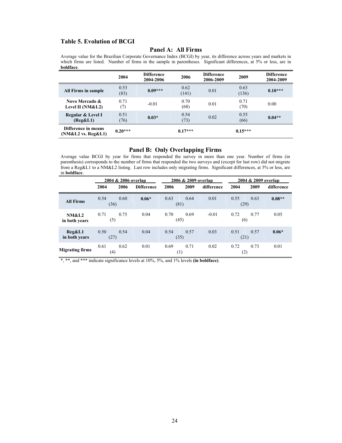## **Table 5. Evolution of BCGI**

## **Panel A: All Firms**

Average value for the Brazilian Corporate Governance Index (BCGI) by year, its difference across years and markets in which firms are listed. Number of firms in the sample in parentheses. Significant differences, at 5% or less, are in **boldface**.

|                                           | 2004         | <b>Difference</b><br>2004-2006 | 2006          | <b>Difference</b><br>2006-2009 | 2009          | <b>Difference</b><br>2004-2009 |
|-------------------------------------------|--------------|--------------------------------|---------------|--------------------------------|---------------|--------------------------------|
| <b>All Firms in sample</b>                | 0.53<br>(83) | $0.09***$                      | 0.62<br>(141) | 0.01                           | 0.63<br>(136) | $0.10***$                      |
| Novo Mercado &<br>Level II ( $NM&L2$ )    | 0.71<br>(7)  | $-0.01$                        | 0.70<br>(68)  | 0.01                           | 0.71<br>(70)  | 0.00                           |
| Regular & Level I<br>(Reg&L1)             | 0.51<br>(76) | $0.03*$                        | 0.54<br>(73)  | 0.02                           | 0.55<br>(66)  | $0.04**$                       |
| Difference in means<br>(NM&L2 vs. Reg&L1) | $0.20***$    |                                | $0.17***$     |                                | $0.15***$     |                                |

#### **Panel B: Only Overlapping Firms**

Average value BCGI by year for firms that responded the survey in more than one year. Number of firms (in parenthesis) corresponds to the number of firms that responded the two surveys and (except for last row) did not migrate from a Reg&L1 to a NM&L2 listing. Last row includes only migrating firms. Significant differences, at 5% or less, are in **boldface**.

|                                   | 2004 & 2006 overlap |      |                   |      | 2006 & 2009 overlap |            |              | 2004 & 2009 overlap |            |  |
|-----------------------------------|---------------------|------|-------------------|------|---------------------|------------|--------------|---------------------|------------|--|
|                                   | 2004                | 2006 | <b>Difference</b> | 2006 | 2009                | difference | 2004         | 2009                | difference |  |
| <b>All Firms</b>                  | 0.54<br>(36)        | 0.60 | $0.06*$           | 0.63 | 0.64<br>(81)        | 0.01       | 0.55<br>(29) | 0.63                | $0.08**$   |  |
| <b>NM&amp;L2</b><br>in both years | 0.71<br>(5)         | 0.75 | 0.04              | 0.70 | 0.69<br>(45)        | $-0.01$    | 0.72<br>(6)  | 0.77                | 0.05       |  |
| $Reg\&L1$<br>in both years        | 0.50<br>(27)        | 0.54 | 0.04              | 0.54 | 0.57<br>(35)        | 0.03       | 0.51<br>(21) | 0.57                | $0.06*$    |  |
| <b>Migrating firms</b>            | 0.61<br>(4)         | 0.62 | 0.01              | 0.69 | 0.71<br>(1)         | 0.02       | 0.72<br>(2)  | 0.73                | 0.01       |  |

\*, \*\*, and \*\*\* indicate significance levels at 10%, 5%, and 1% levels **(in boldface)**.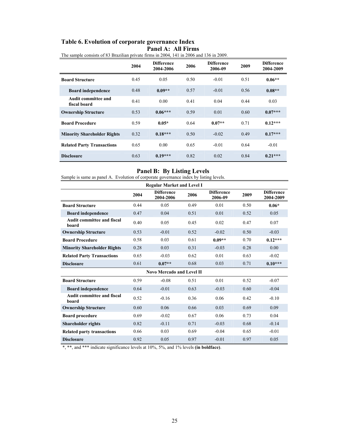# **Table 6. Evolution of corporate governance Index Panel A: All Firms**

|                                     | The sample consists of 03 Digaman private mins in 2004, THT in 2000 and 150 in 2007. |                                |      |                              |      |                                |  |  |  |  |
|-------------------------------------|--------------------------------------------------------------------------------------|--------------------------------|------|------------------------------|------|--------------------------------|--|--|--|--|
|                                     | 2004                                                                                 | <b>Difference</b><br>2004-2006 | 2006 | <b>Difference</b><br>2006-09 | 2009 | <b>Difference</b><br>2004-2009 |  |  |  |  |
| <b>Board Structure</b>              | 0.45                                                                                 | 0.05                           | 0.50 | $-0.01$                      | 0.51 | $0.06**$                       |  |  |  |  |
| <b>Board independence</b>           | 0.48                                                                                 | $0.09**$                       | 0.57 | $-0.01$                      | 0.56 | $0.08**$                       |  |  |  |  |
| Audit committee and<br>fiscal board | 0.41                                                                                 | 0.00                           | 0.41 | 0.04                         | 0.44 | 0.03                           |  |  |  |  |
| <b>Ownership Structure</b>          | 0.53                                                                                 | $0.06***$                      | 0.59 | 0.01                         | 0.60 | $0.07***$                      |  |  |  |  |
| <b>Board Procedure</b>              | 0.59                                                                                 | $0.05*$                        | 0.64 | $0.07**$                     | 0.71 | $0.12***$                      |  |  |  |  |
| <b>Minority Shareholder Rights</b>  | 0.32                                                                                 | $0.18***$                      | 0.50 | $-0.02$                      | 0.49 | $0.17***$                      |  |  |  |  |
| <b>Related Party Transactions</b>   | 0.65                                                                                 | 0.00                           | 0.65 | $-0.01$                      | 0.64 | $-0.01$                        |  |  |  |  |
| <b>Disclosure</b>                   | 0.63                                                                                 | $0.19***$                      | 0.82 | 0.02                         | 0.84 | $0.21***$                      |  |  |  |  |

The sample consists of 83 Brazilian private firms in 2004, 141 in 2006 and 136 in 2009.

## **Panel B: By Listing Levels**

Sample is same as panel A. Evolution of corporate governance index by listing levels.

|                                            | <b>Regular Market and Level I</b> |                                  |      |                              |      |                                |  |  |  |  |  |  |
|--------------------------------------------|-----------------------------------|----------------------------------|------|------------------------------|------|--------------------------------|--|--|--|--|--|--|
|                                            | 2004                              | <b>Difference</b><br>2004-2006   | 2006 | <b>Difference</b><br>2006-09 | 2009 | <b>Difference</b><br>2004-2009 |  |  |  |  |  |  |
| <b>Board Structure</b>                     | 0.44                              | 0.05                             | 0.49 | 0.01                         | 0.50 | $0.06*$                        |  |  |  |  |  |  |
| <b>Board independence</b>                  | 0.47                              | 0.04                             | 0.51 | 0.01                         | 0.52 | 0.05                           |  |  |  |  |  |  |
| <b>Audit committee and fiscal</b><br>board | 0.40                              | 0.05                             | 0.45 | 0.02                         | 0.47 | 0.07                           |  |  |  |  |  |  |
| <b>Ownership Structure</b>                 | 0.53                              | $-0.01$                          | 0.52 | $-0.02$                      | 0.50 | $-0.03$                        |  |  |  |  |  |  |
| <b>Board Procedure</b>                     | 0.58                              | 0.03                             | 0.61 | $0.09**$                     | 0.70 | $0.12***$                      |  |  |  |  |  |  |
| <b>Minority Shareholder Rights</b>         | 0.28                              | 0.03                             | 0.31 | $-0.03$                      | 0.28 | 0.00                           |  |  |  |  |  |  |
| <b>Related Party Transactions</b>          | 0.65                              | $-0.03$                          | 0.62 | 0.01                         | 0.63 | $-0.02$                        |  |  |  |  |  |  |
| <b>Disclosure</b>                          | 0.61                              | $0.07**$                         | 0.68 | 0.03                         | 0.71 | $0.10***$                      |  |  |  |  |  |  |
|                                            |                                   | <b>Novo Mercado and Level II</b> |      |                              |      |                                |  |  |  |  |  |  |
| <b>Board Structure</b>                     | 0.59                              | $-0.08$                          | 0.51 | 0.01                         | 0.52 | $-0.07$                        |  |  |  |  |  |  |
| <b>Board independence</b>                  | 0.64                              | $-0.01$                          | 0.63 | $-0.03$                      | 0.60 | $-0.04$                        |  |  |  |  |  |  |
| <b>Audit committee and fiscal</b><br>board | 0.52                              | $-0.16$                          | 0.36 | 0.06                         | 0.42 | $-0.10$                        |  |  |  |  |  |  |
| <b>Ownership Structure</b>                 | 0.60                              | 0.06                             | 0.66 | 0.03                         | 0.69 | 0.09                           |  |  |  |  |  |  |
| <b>Board procedure</b>                     | 0.69                              | $-0.02$                          | 0.67 | 0.06                         | 0.73 | 0.04                           |  |  |  |  |  |  |
| <b>Shareholder rights</b>                  | 0.82                              | $-0.11$                          | 0.71 | $-0.03$                      | 0.68 | $-0.14$                        |  |  |  |  |  |  |
| <b>Related party transactions</b>          | 0.66                              | 0.03                             | 0.69 | $-0.04$                      | 0.65 | $-0.01$                        |  |  |  |  |  |  |
| <b>Disclosure</b>                          | 0.92                              | 0.05                             | 0.97 | $-0.01$                      | 0.97 | 0.05                           |  |  |  |  |  |  |

\*, \*\*, and \*\*\* indicate significance levels at 10%, 5%, and 1% levels **(in boldface)**.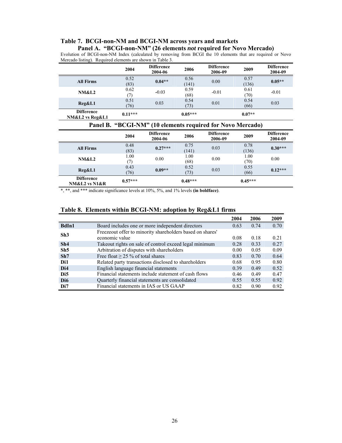# **Table 7. BCGI-non-NM and BCGI-NM across years and markets**

**Panel A. "BCGI-non-NM" (26 elements** *not* **required for Novo Mercado)**  Evolution of BCGI-non-NM Index (calculated by removing from BCGI the 10 elements that are required or Novo Mercado listing). Required elements are shown in Table 3.

|                                      | 2004         | <b>Difference</b><br>2004-06 | 2006          | <b>Difference</b><br>2006-09 | 2009          | <b>Difference</b><br>2004-09 |
|--------------------------------------|--------------|------------------------------|---------------|------------------------------|---------------|------------------------------|
| <b>All Firms</b>                     | 0.52<br>(83) | $0.04**$                     | 0.56<br>(141) | 0.00                         | 0.57<br>(136) | $0.05**$                     |
| <b>NM&amp;L2</b>                     | 0.62<br>(7)  | $-0.03$                      | 0.59<br>(68)  | $-0.01$                      | 0.61<br>(70)  | $-0.01$                      |
| Reg&L1                               | 0.51<br>(76) | 0.03                         | 0.54<br>(73)  | 0.01                         | 0.54<br>(66)  | 0.03                         |
| <b>Difference</b><br>NM&L2 vs Reg&L1 | $0.11***$    |                              | $0.05***$     |                              | $0.07**$      |                              |

# **Panel B. "BCGI-NM" (10 elements required for Novo Mercado)**

|                                        | 2004         | <b>Difference</b><br>2004-06 | 2006          | <b>Difference</b><br>2006-09 | 2009          | <b>Difference</b><br>2004-09 |
|----------------------------------------|--------------|------------------------------|---------------|------------------------------|---------------|------------------------------|
| <b>All Firms</b>                       | 0.48<br>(83) | $0.27***$                    | 0.75<br>(141) | 0.03                         | 0.78<br>(136) | $0.30***$                    |
| <b>NM&amp;L2</b>                       | 1.00<br>(7)  | 0.00                         | 1.00<br>(68)  | 0.00                         | 1.00<br>(70)  | 0.00                         |
| Reg&L1                                 | 0.43<br>(76) | $0.09**$                     | 0.52<br>(73)  | 0.03                         | 0.55<br>(66)  | $0.12***$                    |
| <b>Difference</b><br>$NM&L2$ vs $N1&R$ | $0.57***$    |                              | $0.48***$     |                              | $0.45***$     |                              |

\*, \*\*, and \*\*\* indicate significance levels at 10%, 5%, and 1% levels **(in boldface)**.

|                  |                                                                             | 2004 | 2006 | 2009 |
|------------------|-----------------------------------------------------------------------------|------|------|------|
| BdIn1            | Board includes one or more independent directors                            | 0.63 | 0.74 | 0.70 |
| Sh3              | Freezeout offer to minority shareholders based on shares'<br>economic value | 0.08 | 0.18 | 0.21 |
| Sh4              | Takeout rights on sale of control exceed legal minimum                      | 0.28 | 0.33 | 0.27 |
| Sh5              | Arbitration of disputes with shareholders                                   | 0.00 | 0.05 | 0.09 |
| Sh7              | Free float $\geq$ 25 % of total shares                                      | 0.83 | 0.70 | 0.64 |
| Di1              | Related party transactions disclosed to shareholders                        | 0.68 | 0.95 | 0.80 |
| D <sub>i</sub> 4 | English language financial statements                                       | 0.39 | 0.49 | 0.52 |
| Di <sub>5</sub>  | Financial statements include statement of cash flows                        | 0.46 | 0.49 | 0.47 |
| D <sub>i6</sub>  | Quarterly financial statements are consolidated                             | 0.55 | 0.55 | 0.92 |
| D <sub>i7</sub>  | Financial statements in IAS or US GAAP                                      | 0.82 | 0.90 | 0.92 |

#### **Table 8. Elements within BCGI-NM: adoption by Reg&L1 firms**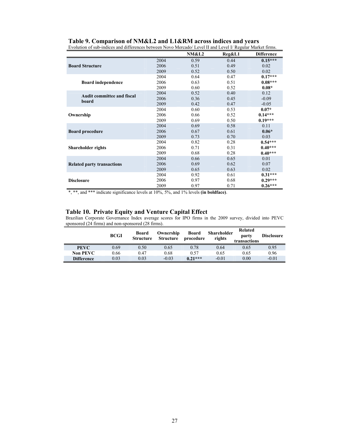| Evolution of sub-indices and differences between Novo Mercado/ Level II and Level I/ Regular Market firms. |      |                  |        |                   |  |  |  |  |
|------------------------------------------------------------------------------------------------------------|------|------------------|--------|-------------------|--|--|--|--|
|                                                                                                            |      | <b>NM&amp;L2</b> | Reg&L1 | <b>Difference</b> |  |  |  |  |
|                                                                                                            | 2004 | 0.59             | 0.44   | $0.15***$         |  |  |  |  |
| <b>Board Structure</b>                                                                                     | 2006 | 0.51             | 0.49   | 0.02              |  |  |  |  |
|                                                                                                            | 2009 | 0.52             | 0.50   | 0.02              |  |  |  |  |
|                                                                                                            | 2004 | 0.64             | 0.47   | $0.17***$         |  |  |  |  |
| <b>Board independence</b>                                                                                  | 2006 | 0.63             | 0.51   | $0.08***$         |  |  |  |  |
|                                                                                                            | 2009 | 0.60             | 0.52   | $0.08*$           |  |  |  |  |
| <b>Audit committee and fiscal</b>                                                                          | 2004 | 0.52             | 0.40   | 0.12              |  |  |  |  |
| board                                                                                                      | 2006 | 0.36             | 0.45   | $-0.09$           |  |  |  |  |
|                                                                                                            | 2009 | 0.42             | 0.47   | $-0.05$           |  |  |  |  |
|                                                                                                            | 2004 | 0.60             | 0.53   | $0.07*$           |  |  |  |  |
| Ownership                                                                                                  | 2006 | 0.66             | 0.52   | $0.14***$         |  |  |  |  |
|                                                                                                            | 2009 | 0.69             | 0.50   | $0.19***$         |  |  |  |  |
|                                                                                                            | 2004 | 0.69             | 0.58   | 0.11              |  |  |  |  |
| <b>Board procedure</b>                                                                                     | 2006 | 0.67             | 0.61   | $0.06*$           |  |  |  |  |
|                                                                                                            | 2009 | 0.73             | 0.70   | 0.03              |  |  |  |  |
|                                                                                                            | 2004 | 0.82             | 0.28   | $0.54***$         |  |  |  |  |
| <b>Shareholder rights</b>                                                                                  | 2006 | 0.71             | 0.31   | $0.40***$         |  |  |  |  |
|                                                                                                            | 2009 | 0.68             | 0.28   | $0.40***$         |  |  |  |  |
|                                                                                                            | 2004 | 0.66             | 0.65   | 0.01              |  |  |  |  |
| <b>Related party transactions</b>                                                                          | 2006 | 0.69             | 0.62   | 0.07              |  |  |  |  |
|                                                                                                            | 2009 | 0.65             | 0.63   | 0.02              |  |  |  |  |
|                                                                                                            | 2004 | 0.92             | 0.61   | $0.31***$         |  |  |  |  |
| <b>Disclosure</b>                                                                                          | 2006 | 0.97             | 0.68   | $0.29***$         |  |  |  |  |
|                                                                                                            | 2009 | 0.97             | 0.71   | $0.26***$         |  |  |  |  |

**Table 9. Comparison of NM&L2 and L1&RM across indices and years**

\*, \*\*, and \*\*\* indicate significance levels at 10%, 5%, and 1% levels **(in boldface)**.

#### **Table 10. Private Equity and Venture Capital Effect**

Brazilian Corporate Governance Index average scores for IPO firms in the 2009 survey, divided into PEVC sponsored (24 firms) and non-sponsored (28 firms).

|                   | <b>BCGI</b> | Board<br>Structure | Ownership<br><b>Structure</b> | <b>Board</b><br>procedure | <b>Shareholder</b><br>rights | Related<br>party<br>transactions | <b>Disclosure</b> |
|-------------------|-------------|--------------------|-------------------------------|---------------------------|------------------------------|----------------------------------|-------------------|
| <b>PEVC</b>       | 0.69        | 0.50               | 0.65                          | 0.78                      | 0.64                         | 0.65                             | 0.95              |
| <b>Non PEVC</b>   | 0.66        | 0.47               | 0.68                          | 0.57                      | 0.65                         | 0.65                             | 0.96              |
| <b>Difference</b> | 0.03        | 0.03               | $-0.03$                       | $0.21***$                 | $-0.01$                      | 0.00                             | $-0.01$           |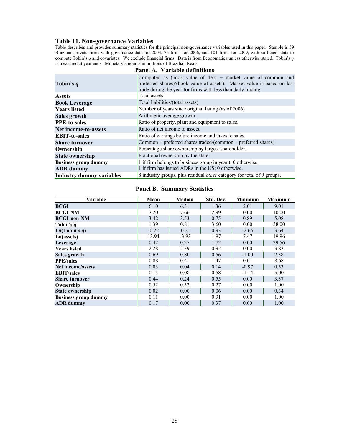#### **Table 11. Non-governance Variables**

Table describes and provides summary statistics for the principal non-governance variables used in this paper. Sample is 59 Brazilian private firms with governance data for 2004, 76 firms for 2006, and 101 firms for 2009, with sufficient data to compute Tobin's *q* and covariates. We exclude financial firms. Data is from Economatica unless otherwise stated. Tobin's *q* is measured at year ends. Monetary amounts in millions of Brazilian Reais.

| Tobin's q                       | Computed as (book value of debt + market value of common and<br>preferred shares)/(book value of assets). Market value is based on last<br>trade during the year for firms with less than daily trading. |  |  |  |  |  |
|---------------------------------|----------------------------------------------------------------------------------------------------------------------------------------------------------------------------------------------------------|--|--|--|--|--|
| <b>Assets</b>                   | Total assets                                                                                                                                                                                             |  |  |  |  |  |
| <b>Book Leverage</b>            | Total liabilities/(total assets)                                                                                                                                                                         |  |  |  |  |  |
| <b>Years listed</b>             | Number of years since original listing (as of 2006)                                                                                                                                                      |  |  |  |  |  |
| Sales growth                    | Arithmetic average growth                                                                                                                                                                                |  |  |  |  |  |
| <b>PPE-to-sales</b>             | Ratio of property, plant and equipment to sales.                                                                                                                                                         |  |  |  |  |  |
| <b>Net income-to-assets</b>     | Ratio of net income to assets.                                                                                                                                                                           |  |  |  |  |  |
| <b>EBIT-to-sales</b>            | Ratio of earnings before income and taxes to sales.                                                                                                                                                      |  |  |  |  |  |
| <b>Share turnover</b>           | Common + preferred shares traded/(common + preferred shares)                                                                                                                                             |  |  |  |  |  |
| Ownership                       | Percentage share ownership by largest shareholder.                                                                                                                                                       |  |  |  |  |  |
| <b>State ownership</b>          | Fractional ownership by the state                                                                                                                                                                        |  |  |  |  |  |
| <b>Business group dummy</b>     | 1 if firm belongs to business group in year t, 0 otherwise.                                                                                                                                              |  |  |  |  |  |
| <b>ADR</b> dummy                | 1 if firm has issued ADRs in the US; 0 otherwise.                                                                                                                                                        |  |  |  |  |  |
| <b>Industry dummy variables</b> | 8 industry groups, plus residual <i>other</i> category for total of 9 groups.                                                                                                                            |  |  |  |  |  |

#### **Panel A. Variable definitions**

## **Panel B. Summary Statistics**

| <b>Variable</b>             | Mean    | Median  | Std. Dev. | <b>Minimum</b> | <b>Maximum</b> |
|-----------------------------|---------|---------|-----------|----------------|----------------|
| <b>BCGI</b>                 | 6.10    | 6.31    | 1.36      | 2.01           | 9.01           |
| <b>BCGI-NM</b>              | 7.20    | 7.66    | 2.99      | 0.00           | 10.00          |
| <b>BCGI-non-NM</b>          | 3.42    | 3.53    | 0.75      | 0.89           | 5.08           |
| Tobin's <i>a</i>            | 1.39    | 0.81    | 3.60      | 0.00           | 38.00          |
| Ln(Tobin's q)               | $-0.22$ | $-0.21$ | 0.93      | $-2.65$        | 3.64           |
| Ln(assets)                  | 13.94   | 13.93   | 1.97      | 7.47           | 19.96          |
| Leverage                    | 0.42    | 0.27    | 1.72      | 0.00           | 29.56          |
| <b>Years listed</b>         | 2.28    | 2.39    | 0.92      | 0.00           | 3.83           |
| Sales growth                | 0.69    | 0.80    | 0.56      | $-1.00$        | 2.38           |
| <b>PPE/sales</b>            | 0.88    | 0.41    | 1.47      | 0.01           | 8.68           |
| Net income/assets           | 0.03    | 0.04    | 0.14      | $-0.97$        | 0.53           |
| <b>EBIT/sales</b>           | 0.15    | 0.08    | 0.58      | $-1.14$        | 5.00           |
| <b>Share turnover</b>       | 0.44    | 0.24    | 0.55      | 0.00           | 3.37           |
| Ownership                   | 0.52    | 0.52    | 0.27      | 0.00           | 1.00           |
| <b>State ownership</b>      | 0.02    | 0.00    | 0.06      | 0.00           | 0.34           |
| <b>Business group dummy</b> | 0.11    | 0.00    | 0.31      | 0.00           | 1.00           |
| <b>ADR</b> dummy            | 0.17    | 0.00    | 0.37      | 0.00           | 1.00           |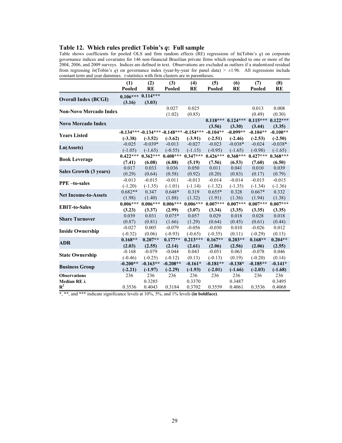## **Table 12. Which rules predict Tobin's** *q***: Full sample**

Table shows coefficients for pooled OLS and firm random effects (RE) regressions of ln(Tobin's *q*) on corporate governance indices and covariates for 146 non-financial Brazilian private firms which responded to one or more of the 2004, 2006, and 2009 surveys. Indices are defined in text. Observations are excluded as outliers if a studentized residual from regressing *ln*(Tobin's *q*) on governance index (year-by-year for panel data) *>* ±1.96. All regressions include constant term and year dummies. *t*-statistics with firm clusters are in parentheses.

|                               | (1)        | (2)                   | (3)        | (4)                                    | (5)        | (6)        | (7)        | (8)                   |
|-------------------------------|------------|-----------------------|------------|----------------------------------------|------------|------------|------------|-----------------------|
|                               | Pooled     | <b>RE</b>             | Pooled     | RE                                     | Pooled     | <b>RE</b>  | Pooled     | <b>RE</b>             |
|                               |            | $0.106***$ $0.114***$ |            |                                        |            |            |            |                       |
| <b>Overall Index (BCGI)</b>   | (3.16)     | (3.03)                |            |                                        |            |            |            |                       |
| <b>Non-Novo Mercado Index</b> |            |                       | 0.027      | 0.025                                  |            |            | 0.013      | 0.008                 |
|                               |            |                       | (1.02)     | (0.85)                                 |            |            | (0.49)     | (0.30)                |
| <b>Novo Mercado Index</b>     |            |                       |            |                                        | $0.118***$ | $0.124***$ | $0.115***$ | $0.122***$            |
|                               |            |                       |            |                                        | (3.56)     | (3.30)     | (3.44)     | (3.35)                |
| <b>Years Listed</b>           |            |                       |            | $-0.134***-0.134***-0.148***-0.154***$ | $-0.104**$ | $-0.099**$ | $-0.104**$ | $-0.100**$            |
|                               | $(-3.38)$  | $(-3.52)$             | $(-3.62)$  | $(-3.91)$                              | $(-2.51)$  | $(-2.46)$  | $(-2.53)$  | $(-2.50)$             |
| Ln(Assets)                    | $-0.025$   | $-0.039*$             | $-0.013$   | $-0.027$                               | $-0.023$   | $-0.038*$  | $-0.024$   | $-0.038*$             |
|                               | $(-1.05)$  | $(-1.65)$             | $(-0.55)$  | $(-1.15)$                              | $(-0.95)$  | $(-1.65)$  | $(-0.98)$  | $(-1.65)$             |
| <b>Book Leverage</b>          | $0.422***$ | $0.362***$            | $0.408***$ | $0.347***$                             | $0.426***$ | $0.368***$ | $0.427***$ | $0.368***$            |
|                               | (7.41)     | (6.08)                | (6.88)     | (5.19)                                 | (7.56)     | (6.53)     | (7.60)     | (6.50)                |
| Sales Growth (3 years)        | 0.017      | 0.033                 | 0.036      | 0.050                                  | 0.011      | 0.041      | 0.010      | 0.039                 |
|                               | (0.29)     | (0.64)                | (0.58)     | (0.92)                                 | (0.20)     | (0.83)     | (0.17)     | (0.79)                |
| <b>PPE</b> -to-sales          | $-0.013$   | $-0.015$              | $-0.011$   | $-0.013$                               | $-0.014$   | $-0.014$   | $-0.015$   | $-0.015$              |
|                               | $(-1.20)$  | $(-1.35)$             | $(-1.01)$  | $(-1.14)$                              | $(-1.32)$  | $(-1.35)$  | $(-1.34)$  | $(-1.36)$             |
| <b>Net Income-to-Assets</b>   | $0.682**$  | 0.347                 | $0.648*$   | 0.319                                  | $0.655*$   | 0.328      | $0.667*$   | 0.332                 |
|                               | (1.98)     | (1.40)                | (1.88)     | (1.32)                                 | (1.91)     | (1.36)     | (1.94)     | (1.38)                |
| <b>EBIT-to-Sales</b>          | $0.006***$ | $0.006***$            | $0.006***$ | $0.006***$                             | $0.007***$ | $0.007***$ |            | $0.007***$ $0.007***$ |
|                               | (3.23)     | (3.37)                | (2.99)     | (3.07)                                 | (3.34)     | (3.35)     | (3.35)     | (3.35)                |
| <b>Share Turnover</b>         | 0.039      | 0.031                 | $0.075*$   | 0.057                                  | 0.029      | 0.018      | 0.028      | 0.018                 |
|                               | (0.87)     | (0.81)                | (1.66)     | (1.29)                                 | (0.64)     | (0.45)     | (0.61)     | (0.44)                |
| <b>Inside Ownership</b>       | $-0.027$   | 0.005                 | $-0.079$   | $-0.056$                               | $-0.030$   | 0.010      | $-0.026$   | 0.012                 |
|                               | $(-0.32)$  | (0.06)                | $(-0.93)$  | $(-0.65)$                              | $(-0.35)$  | (0.11)     | $(-0.29)$  | (0.13)                |
| <b>ADR</b>                    | $0.168**$  | $0.207**$             | $0.177**$  | $0.213***$                             | $0.167**$  | $0.203**$  | $0.168**$  | $0.204**$             |
|                               | (2.03)     | (2.55)                | (2.14)     | (2.61)                                 | (2.06)     | (2.56)     | (2.06)     | (2.55)                |
| <b>State Ownership</b>        | $-0.168$   | $-0.079$              | $-0.044$   | 0.043                                  | $-0.051$   | 0.063      | $-0.078$   | 0.046                 |
|                               | $(-0.46)$  | $(-0.25)$             | $(-0.12)$  | (0.13)                                 | $(-0.13)$  | (0.19)     | $(-0.20)$  | (0.14)                |
| <b>Business Group</b>         | $-0.200**$ | $-0.163**$            | $-0.208**$ | $-0.161*$                              | $-0.181**$ | $-0.138*$  | $-0.185**$ | $-0.141*$             |
|                               | $(-2.21)$  | $(-1.97)$             | $(-2.29)$  | $(-1.93)$                              | $(-2.01)$  | $(-1.66)$  | $(-2.03)$  | $(-1.68)$             |
| <b>Observations</b>           | 236        | 236                   | 236        | 236                                    | 236        | 236        | 236        | 236                   |
| Median RE λ<br>$\mathbb{R}^2$ |            | 0.3285                |            | 0.3370                                 |            | 0.3487     |            | 0.3495                |
|                               | 0.3536     | 0.4043                | 0.3184     | 0.3702                                 | 0.3559     | 0.4061     | 0.3536     | 0.4068                |

\*, \*\*, and \*\*\* indicate significance levels at 10%, 5%, and 1% levels **(in boldface)**.